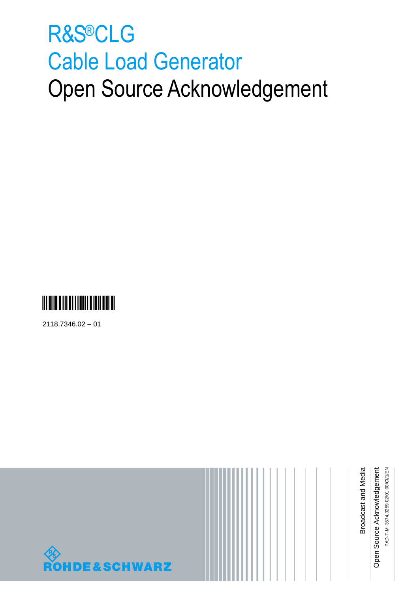# R&S®CLG Cable Load Generator Open Source Acknowledgement



2118.7346.02 – 01

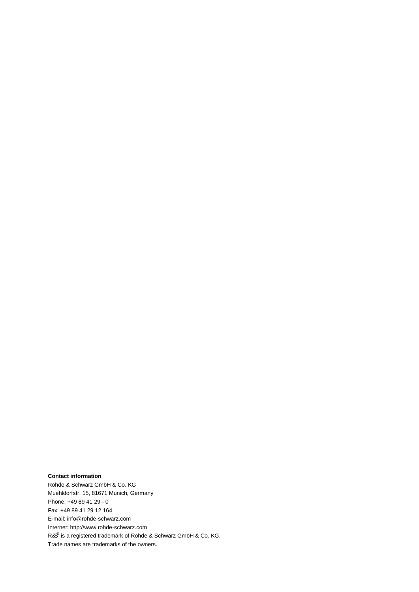#### **Contact information**

Rohde & Schwarz GmbH & Co. KG Muehldorfstr. 15, 81671 Munich, Germany Phone: +49 89 41 29 - 0 Fax: +49 89 41 29 12 164 E-mail: [info@rohde-schwarz.com](mailto:info@rohde-schwarz.com) Internet[: http://www.rohde-schwarz.com](http://www.rohde-schwarz.com/) R&<sup>®</sup> is a registered trademark of Rohde & Schwarz GmbH & Co. KG. Trade names are trademarks of the owners.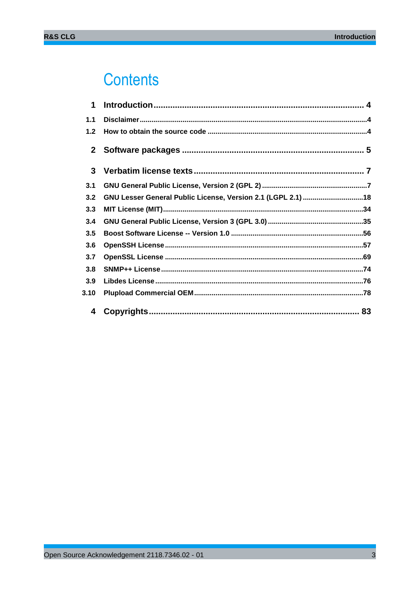# **Contents**

| 1            |                                                               |  |
|--------------|---------------------------------------------------------------|--|
| 1.1          |                                                               |  |
| 1.2          |                                                               |  |
| $\mathbf{2}$ |                                                               |  |
| 3            |                                                               |  |
| 3.1          |                                                               |  |
| 3.2          | GNU Lesser General Public License, Version 2.1 (LGPL 2.1)  18 |  |
| 3.3          |                                                               |  |
| 3.4          |                                                               |  |
| 3.5          |                                                               |  |
| 3.6          |                                                               |  |
| 3.7          |                                                               |  |
| 3.8          |                                                               |  |
| 3.9          |                                                               |  |
| 3.10         |                                                               |  |
| 4            |                                                               |  |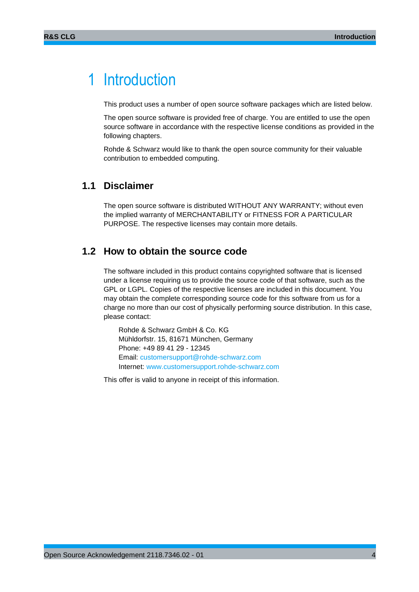## <span id="page-3-0"></span>1 Introduction

This product uses a number of open source software packages which are listed below.

The open source software is provided free of charge. You are entitled to use the open source software in accordance with the respective license conditions as provided in the following chapters.

<span id="page-3-1"></span>Rohde & Schwarz would like to thank the open source community for their valuable contribution to embedded computing.

#### **1.1 Disclaimer**

The open source software is distributed WITHOUT ANY WARRANTY; without even the implied warranty of MERCHANTABILITY or FITNESS FOR A PARTICULAR PURPOSE. The respective licenses may contain more details.

#### <span id="page-3-2"></span>**1.2 How to obtain the source code**

The software included in this product contains copyrighted software that is licensed under a license requiring us to provide the source code of that software, such as the GPL or LGPL. Copies of the respective licenses are included in this document. You may obtain the complete corresponding source code for this software from us for a charge no more than our cost of physically performing source distribution. In this case, please contact:

Rohde & Schwarz GmbH & Co. KG Mühldorfstr. 15, 81671 München, Germany Phone: +49 89 41 29 - 12345 Email: [customersupport@rohde-schwarz.com](mailto:customersupport@rohde-schwarz.com) Internet: [www.customersupport.rohde-schwarz.com](http://www.customersupport.rohde-schwarz.com/)

This offer is valid to anyone in receipt of this information.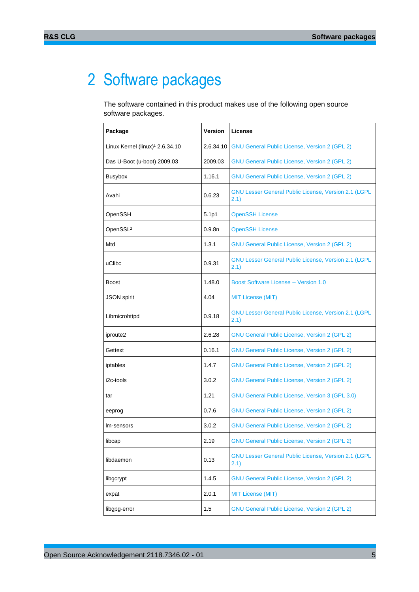# <span id="page-4-0"></span>2 Software packages

The software contained in this product makes use of the following open source software packages.

| Package                                     | <b>Version</b> | License                                                              |
|---------------------------------------------|----------------|----------------------------------------------------------------------|
| Linux Kernel (linux) <sup>1</sup> 2.6.34.10 | 2.6.34.10      | <b>GNU General Public License, Version 2 (GPL 2)</b>                 |
| Das U-Boot (u-boot) 2009.03                 | 2009.03        | <b>GNU General Public License, Version 2 (GPL 2)</b>                 |
| <b>Busybox</b>                              | 1.16.1         | <b>GNU General Public License, Version 2 (GPL 2)</b>                 |
| Avahi                                       | 0.6.23         | <b>GNU Lesser General Public License, Version 2.1 (LGPL</b><br>2.1)  |
| OpenSSH                                     | 5.1p1          | <b>OpenSSH License</b>                                               |
| OpenSSL <sup>2</sup>                        | 0.9.8n         | <b>OpenSSH License</b>                                               |
| Mtd                                         | 1.3.1          | <b>GNU General Public License, Version 2 (GPL 2)</b>                 |
| uClibc                                      | 0.9.31         | <b>GNU Lesser General Public License, Version 2.1 (LGPL</b><br>(2.1) |
| Boost                                       | 1.48.0         | <b>Boost Software License -- Version 1.0</b>                         |
| JSON spirit                                 | 4.04           | <b>MIT License (MIT)</b>                                             |
| Libmicrohttpd                               | 0.9.18         | <b>GNU Lesser General Public License, Version 2.1 (LGPL</b><br>(2.1) |
| iproute2                                    | 2.6.28         | <b>GNU General Public License, Version 2 (GPL 2)</b>                 |
| Gettext                                     | 0.16.1         | <b>GNU General Public License, Version 2 (GPL 2)</b>                 |
| iptables                                    | 1.4.7          | <b>GNU General Public License, Version 2 (GPL 2)</b>                 |
| i2c-tools                                   | 3.0.2          | <b>GNU General Public License, Version 2 (GPL 2)</b>                 |
| tar                                         | 1.21           | <b>GNU General Public License, Version 3 (GPL 3.0)</b>               |
| eeprog                                      | 0.7.6          | <b>GNU General Public License, Version 2 (GPL 2)</b>                 |
| lm-sensors                                  | 3.0.2          | <b>GNU General Public License, Version 2 (GPL 2)</b>                 |
| libcap                                      | 2.19           | <b>GNU General Public License, Version 2 (GPL 2)</b>                 |
| libdaemon                                   | 0.13           | <b>GNU Lesser General Public License, Version 2.1 (LGPL</b><br>(2.1) |
| libgcrypt                                   | 1.4.5          | <b>GNU General Public License, Version 2 (GPL 2)</b>                 |
| expat                                       | 2.0.1          | <b>MIT License (MIT)</b>                                             |
| libgpg-error                                | 1.5            | <b>GNU General Public License, Version 2 (GPL 2)</b>                 |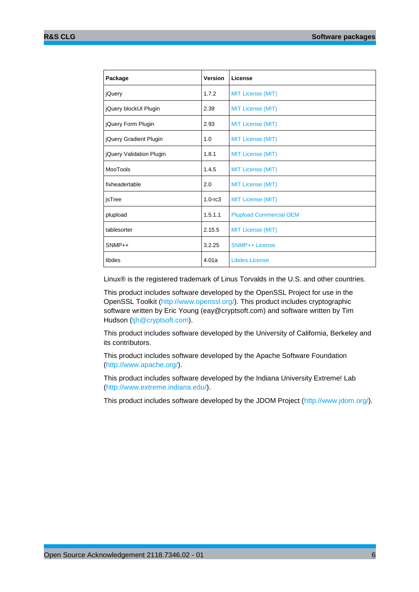| Package                  | Version       | License                        |
|--------------------------|---------------|--------------------------------|
| jQuery                   | 1.7.2         | <b>MIT License (MIT)</b>       |
| jQuery blockUI Plugin    | 2.39          | <b>MIT License (MIT)</b>       |
| jQuery Form Plugin       | 2.93          | <b>MIT License (MIT)</b>       |
| jQuery Gradient Plugin   | 1.0           | <b>MIT License (MIT)</b>       |
| jQuery Validation Plugin | 1.8.1         | <b>MIT License (MIT)</b>       |
| <b>MooTools</b>          | 1.4.5         | <b>MIT License (MIT)</b>       |
| fixheadertable           | 2.0           | <b>MIT License (MIT)</b>       |
| jsTree                   | $1.0$ - $rc3$ | <b>MIT License (MIT)</b>       |
| plupload                 | 1.5.1.1       | <b>Plupload Commercial OEM</b> |
| tablesorter              | 2.15.5        | <b>MIT License (MIT)</b>       |
| $SNMP++$                 | 3.2.25        | SNMP++ License                 |
| libdes                   | 4.01a         | Libdes License                 |

Linux® is the registered trademark of Linus Torvalds in the U.S. and other countries.

This product includes software developed by the OpenSSL Project for use in the OpenSSL Toolkit [\(http://www.openssl.org/\)](http://www.openssl.org/). This product includes cryptographic software written by Eric Young (eay@cryptsoft.com) and software written by Tim Hudson [\(tjh@cryptsoft.com\)](mailto:tjh@cryptsoft.com).

This product includes software developed by the University of California, Berkeley and its contributors.

This product includes software developed by the Apache Software Foundation [\(http://www.apache.org/\)](http://www.apache.org/).

This product includes software developed by the Indiana University Extreme! Lab [\(http://www.extreme.indiana.edu/\)](http://www.extreme.indiana.edu/).

This product includes software developed by the JDOM Project [\(http://www.jdom.org/\)](http://www.jdom.org/).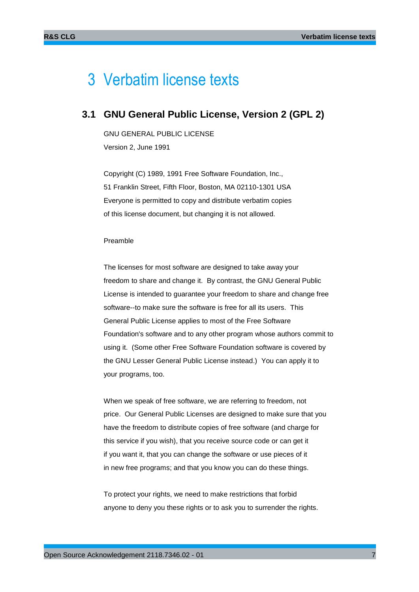## <span id="page-6-0"></span>3 Verbatim license texts

#### <span id="page-6-1"></span>**3.1 GNU General Public License, Version 2 (GPL 2)**

GNU GENERAL PUBLIC LICENSE Version 2, June 1991

Copyright (C) 1989, 1991 Free Software Foundation, Inc., 51 Franklin Street, Fifth Floor, Boston, MA 02110-1301 USA Everyone is permitted to copy and distribute verbatim copies of this license document, but changing it is not allowed.

#### Preamble

The licenses for most software are designed to take away your freedom to share and change it. By contrast, the GNU General Public License is intended to guarantee your freedom to share and change free software--to make sure the software is free for all its users. This General Public License applies to most of the Free Software Foundation's software and to any other program whose authors commit to using it. (Some other Free Software Foundation software is covered by the GNU Lesser General Public License instead.) You can apply it to your programs, too.

When we speak of free software, we are referring to freedom, not price. Our General Public Licenses are designed to make sure that you have the freedom to distribute copies of free software (and charge for this service if you wish), that you receive source code or can get it if you want it, that you can change the software or use pieces of it in new free programs; and that you know you can do these things.

To protect your rights, we need to make restrictions that forbid anyone to deny you these rights or to ask you to surrender the rights.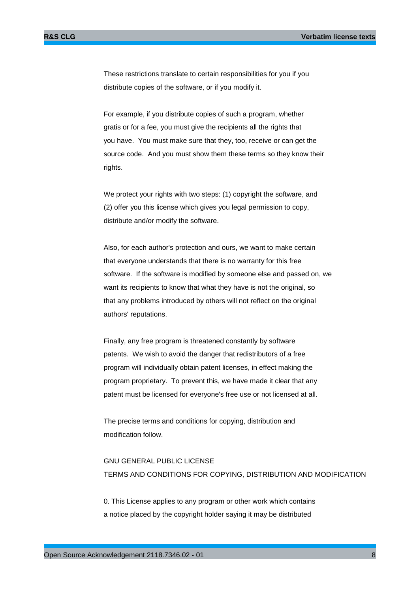These restrictions translate to certain responsibilities for you if you distribute copies of the software, or if you modify it.

For example, if you distribute copies of such a program, whether gratis or for a fee, you must give the recipients all the rights that you have. You must make sure that they, too, receive or can get the source code. And you must show them these terms so they know their rights.

We protect your rights with two steps: (1) copyright the software, and (2) offer you this license which gives you legal permission to copy, distribute and/or modify the software.

Also, for each author's protection and ours, we want to make certain that everyone understands that there is no warranty for this free software. If the software is modified by someone else and passed on, we want its recipients to know that what they have is not the original, so that any problems introduced by others will not reflect on the original authors' reputations.

Finally, any free program is threatened constantly by software patents. We wish to avoid the danger that redistributors of a free program will individually obtain patent licenses, in effect making the program proprietary. To prevent this, we have made it clear that any patent must be licensed for everyone's free use or not licensed at all.

The precise terms and conditions for copying, distribution and modification follow.

#### GNU GENERAL PUBLIC LICENSE

TERMS AND CONDITIONS FOR COPYING, DISTRIBUTION AND MODIFICATION

0. This License applies to any program or other work which contains a notice placed by the copyright holder saying it may be distributed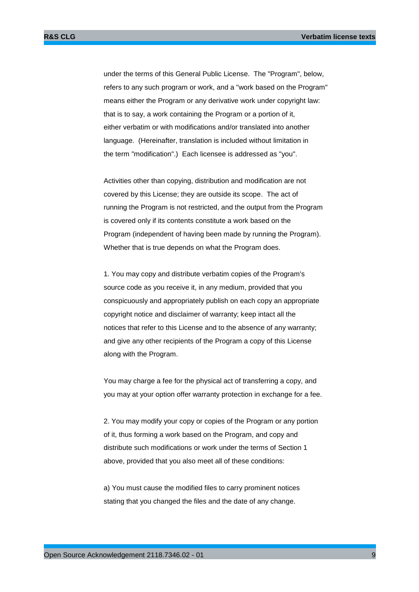under the terms of this General Public License. The "Program", below, refers to any such program or work, and a "work based on the Program" means either the Program or any derivative work under copyright law: that is to say, a work containing the Program or a portion of it, either verbatim or with modifications and/or translated into another language. (Hereinafter, translation is included without limitation in the term "modification".) Each licensee is addressed as "you".

Activities other than copying, distribution and modification are not covered by this License; they are outside its scope. The act of running the Program is not restricted, and the output from the Program is covered only if its contents constitute a work based on the Program (independent of having been made by running the Program). Whether that is true depends on what the Program does.

1. You may copy and distribute verbatim copies of the Program's source code as you receive it, in any medium, provided that you conspicuously and appropriately publish on each copy an appropriate copyright notice and disclaimer of warranty; keep intact all the notices that refer to this License and to the absence of any warranty; and give any other recipients of the Program a copy of this License along with the Program.

You may charge a fee for the physical act of transferring a copy, and you may at your option offer warranty protection in exchange for a fee.

2. You may modify your copy or copies of the Program or any portion of it, thus forming a work based on the Program, and copy and distribute such modifications or work under the terms of Section 1 above, provided that you also meet all of these conditions:

a) You must cause the modified files to carry prominent notices stating that you changed the files and the date of any change.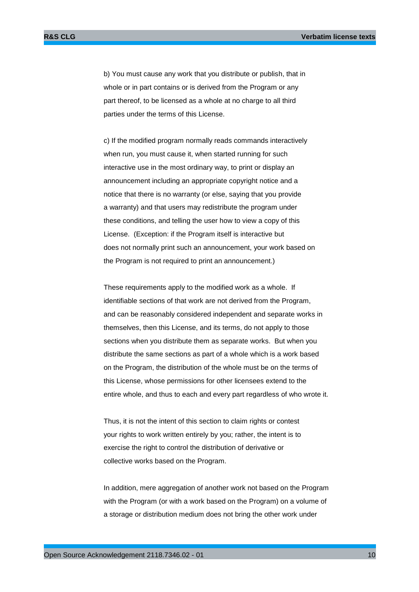b) You must cause any work that you distribute or publish, that in whole or in part contains or is derived from the Program or any part thereof, to be licensed as a whole at no charge to all third parties under the terms of this License.

c) If the modified program normally reads commands interactively when run, you must cause it, when started running for such interactive use in the most ordinary way, to print or display an announcement including an appropriate copyright notice and a notice that there is no warranty (or else, saying that you provide a warranty) and that users may redistribute the program under these conditions, and telling the user how to view a copy of this License. (Exception: if the Program itself is interactive but does not normally print such an announcement, your work based on the Program is not required to print an announcement.)

These requirements apply to the modified work as a whole. If identifiable sections of that work are not derived from the Program, and can be reasonably considered independent and separate works in themselves, then this License, and its terms, do not apply to those sections when you distribute them as separate works. But when you distribute the same sections as part of a whole which is a work based on the Program, the distribution of the whole must be on the terms of this License, whose permissions for other licensees extend to the entire whole, and thus to each and every part regardless of who wrote it.

Thus, it is not the intent of this section to claim rights or contest your rights to work written entirely by you; rather, the intent is to exercise the right to control the distribution of derivative or collective works based on the Program.

In addition, mere aggregation of another work not based on the Program with the Program (or with a work based on the Program) on a volume of a storage or distribution medium does not bring the other work under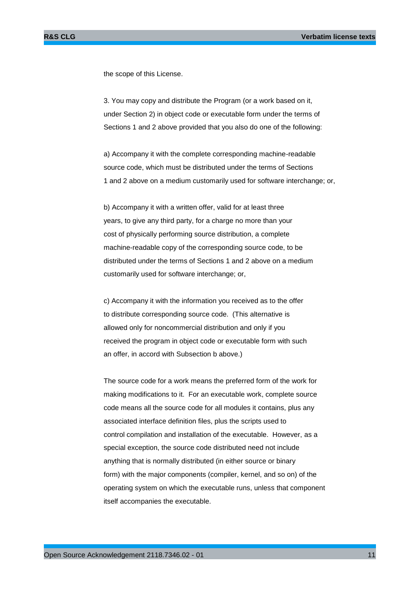the scope of this License.

3. You may copy and distribute the Program (or a work based on it, under Section 2) in object code or executable form under the terms of Sections 1 and 2 above provided that you also do one of the following:

a) Accompany it with the complete corresponding machine-readable source code, which must be distributed under the terms of Sections 1 and 2 above on a medium customarily used for software interchange; or,

b) Accompany it with a written offer, valid for at least three years, to give any third party, for a charge no more than your cost of physically performing source distribution, a complete machine-readable copy of the corresponding source code, to be distributed under the terms of Sections 1 and 2 above on a medium customarily used for software interchange; or,

c) Accompany it with the information you received as to the offer to distribute corresponding source code. (This alternative is allowed only for noncommercial distribution and only if you received the program in object code or executable form with such an offer, in accord with Subsection b above.)

The source code for a work means the preferred form of the work for making modifications to it. For an executable work, complete source code means all the source code for all modules it contains, plus any associated interface definition files, plus the scripts used to control compilation and installation of the executable. However, as a special exception, the source code distributed need not include anything that is normally distributed (in either source or binary form) with the major components (compiler, kernel, and so on) of the operating system on which the executable runs, unless that component itself accompanies the executable.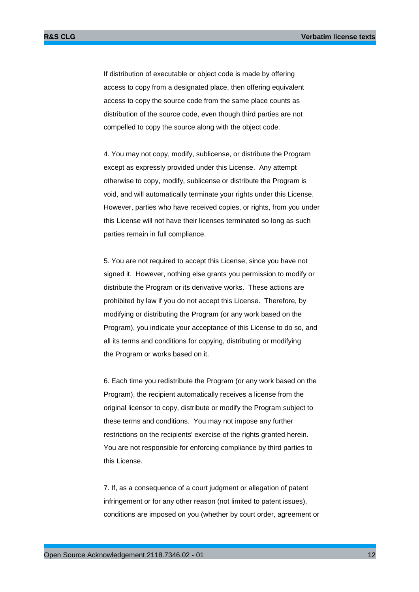If distribution of executable or object code is made by offering access to copy from a designated place, then offering equivalent access to copy the source code from the same place counts as distribution of the source code, even though third parties are not compelled to copy the source along with the object code.

4. You may not copy, modify, sublicense, or distribute the Program except as expressly provided under this License. Any attempt otherwise to copy, modify, sublicense or distribute the Program is void, and will automatically terminate your rights under this License. However, parties who have received copies, or rights, from you under this License will not have their licenses terminated so long as such parties remain in full compliance.

5. You are not required to accept this License, since you have not signed it. However, nothing else grants you permission to modify or distribute the Program or its derivative works. These actions are prohibited by law if you do not accept this License. Therefore, by modifying or distributing the Program (or any work based on the Program), you indicate your acceptance of this License to do so, and all its terms and conditions for copying, distributing or modifying the Program or works based on it.

6. Each time you redistribute the Program (or any work based on the Program), the recipient automatically receives a license from the original licensor to copy, distribute or modify the Program subject to these terms and conditions. You may not impose any further restrictions on the recipients' exercise of the rights granted herein. You are not responsible for enforcing compliance by third parties to this License.

7. If, as a consequence of a court judgment or allegation of patent infringement or for any other reason (not limited to patent issues), conditions are imposed on you (whether by court order, agreement or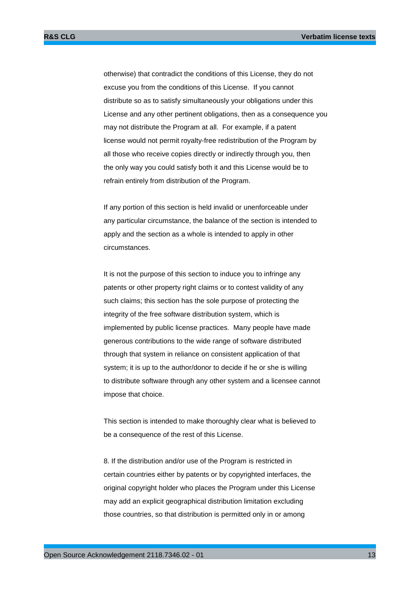otherwise) that contradict the conditions of this License, they do not excuse you from the conditions of this License. If you cannot distribute so as to satisfy simultaneously your obligations under this License and any other pertinent obligations, then as a consequence you may not distribute the Program at all. For example, if a patent license would not permit royalty-free redistribution of the Program by all those who receive copies directly or indirectly through you, then the only way you could satisfy both it and this License would be to refrain entirely from distribution of the Program.

If any portion of this section is held invalid or unenforceable under any particular circumstance, the balance of the section is intended to apply and the section as a whole is intended to apply in other circumstances.

It is not the purpose of this section to induce you to infringe any patents or other property right claims or to contest validity of any such claims; this section has the sole purpose of protecting the integrity of the free software distribution system, which is implemented by public license practices. Many people have made generous contributions to the wide range of software distributed through that system in reliance on consistent application of that system; it is up to the author/donor to decide if he or she is willing to distribute software through any other system and a licensee cannot impose that choice.

This section is intended to make thoroughly clear what is believed to be a consequence of the rest of this License.

8. If the distribution and/or use of the Program is restricted in certain countries either by patents or by copyrighted interfaces, the original copyright holder who places the Program under this License may add an explicit geographical distribution limitation excluding those countries, so that distribution is permitted only in or among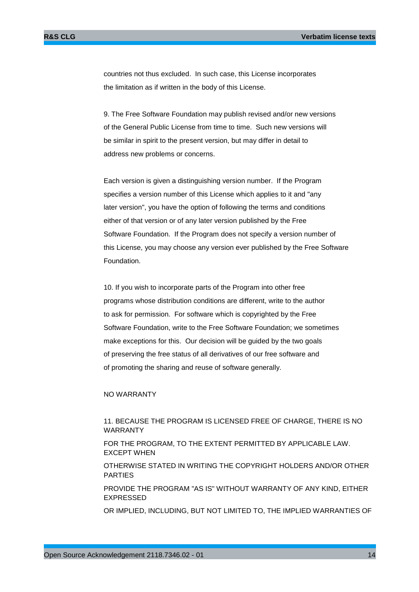countries not thus excluded. In such case, this License incorporates the limitation as if written in the body of this License.

9. The Free Software Foundation may publish revised and/or new versions of the General Public License from time to time. Such new versions will be similar in spirit to the present version, but may differ in detail to address new problems or concerns.

Each version is given a distinguishing version number. If the Program specifies a version number of this License which applies to it and "any later version", you have the option of following the terms and conditions either of that version or of any later version published by the Free Software Foundation. If the Program does not specify a version number of this License, you may choose any version ever published by the Free Software Foundation.

10. If you wish to incorporate parts of the Program into other free programs whose distribution conditions are different, write to the author to ask for permission. For software which is copyrighted by the Free Software Foundation, write to the Free Software Foundation; we sometimes make exceptions for this. Our decision will be guided by the two goals of preserving the free status of all derivatives of our free software and of promoting the sharing and reuse of software generally.

#### NO WARRANTY

11. BECAUSE THE PROGRAM IS LICENSED FREE OF CHARGE, THERE IS NO WARRANTY

FOR THE PROGRAM, TO THE EXTENT PERMITTED BY APPLICABLE LAW. EXCEPT WHEN

OTHERWISE STATED IN WRITING THE COPYRIGHT HOLDERS AND/OR OTHER PARTIES

PROVIDE THE PROGRAM "AS IS" WITHOUT WARRANTY OF ANY KIND, EITHER EXPRESSED

OR IMPLIED, INCLUDING, BUT NOT LIMITED TO, THE IMPLIED WARRANTIES OF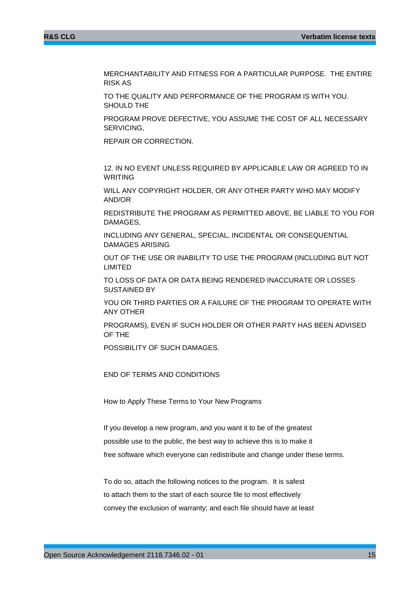MERCHANTABILITY AND FITNESS FOR A PARTICULAR PURPOSE. THE ENTIRE RISK AS

TO THE QUALITY AND PERFORMANCE OF THE PROGRAM IS WITH YOU. SHOULD THE

PROGRAM PROVE DEFECTIVE, YOU ASSUME THE COST OF ALL NECESSARY SERVICING,

REPAIR OR CORRECTION.

12. IN NO EVENT UNLESS REQUIRED BY APPLICABLE LAW OR AGREED TO IN WRITING

WILL ANY COPYRIGHT HOLDER, OR ANY OTHER PARTY WHO MAY MODIFY AND/OR

REDISTRIBUTE THE PROGRAM AS PERMITTED ABOVE, BE LIABLE TO YOU FOR DAMAGES,

INCLUDING ANY GENERAL, SPECIAL, INCIDENTAL OR CONSEQUENTIAL DAMAGES ARISING

OUT OF THE USE OR INABILITY TO USE THE PROGRAM (INCLUDING BUT NOT LIMITED

TO LOSS OF DATA OR DATA BEING RENDERED INACCURATE OR LOSSES SUSTAINED BY

YOU OR THIRD PARTIES OR A FAILURE OF THE PROGRAM TO OPERATE WITH ANY OTHER

PROGRAMS), EVEN IF SUCH HOLDER OR OTHER PARTY HAS BEEN ADVISED OF THE

POSSIBILITY OF SUCH DAMAGES.

END OF TERMS AND CONDITIONS

How to Apply These Terms to Your New Programs

If you develop a new program, and you want it to be of the greatest possible use to the public, the best way to achieve this is to make it free software which everyone can redistribute and change under these terms.

To do so, attach the following notices to the program. It is safest to attach them to the start of each source file to most effectively convey the exclusion of warranty; and each file should have at least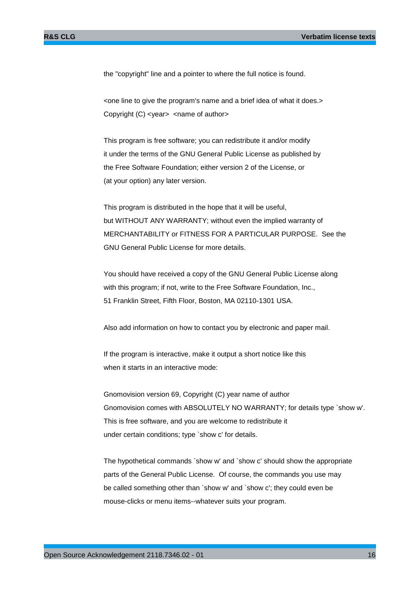the "copyright" line and a pointer to where the full notice is found.

<one line to give the program's name and a brief idea of what it does.> Copyright (C) <year> <name of author>

This program is free software; you can redistribute it and/or modify it under the terms of the GNU General Public License as published by the Free Software Foundation; either version 2 of the License, or (at your option) any later version.

This program is distributed in the hope that it will be useful, but WITHOUT ANY WARRANTY; without even the implied warranty of MERCHANTABILITY or FITNESS FOR A PARTICULAR PURPOSE. See the GNU General Public License for more details.

You should have received a copy of the GNU General Public License along with this program; if not, write to the Free Software Foundation, Inc., 51 Franklin Street, Fifth Floor, Boston, MA 02110-1301 USA.

Also add information on how to contact you by electronic and paper mail.

If the program is interactive, make it output a short notice like this when it starts in an interactive mode:

Gnomovision version 69, Copyright (C) year name of author Gnomovision comes with ABSOLUTELY NO WARRANTY; for details type `show w'. This is free software, and you are welcome to redistribute it under certain conditions; type `show c' for details.

The hypothetical commands `show w' and `show c' should show the appropriate parts of the General Public License. Of course, the commands you use may be called something other than `show w' and `show c'; they could even be mouse-clicks or menu items--whatever suits your program.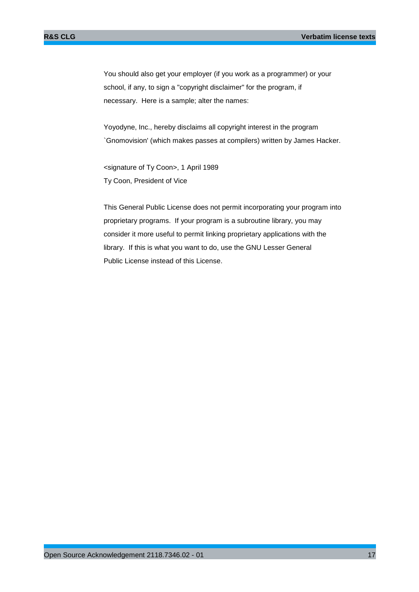You should also get your employer (if you work as a programmer) or your school, if any, to sign a "copyright disclaimer" for the program, if necessary. Here is a sample; alter the names:

Yoyodyne, Inc., hereby disclaims all copyright interest in the program `Gnomovision' (which makes passes at compilers) written by James Hacker.

<signature of Ty Coon>, 1 April 1989 Ty Coon, President of Vice

This General Public License does not permit incorporating your program into proprietary programs. If your program is a subroutine library, you may consider it more useful to permit linking proprietary applications with the library. If this is what you want to do, use the GNU Lesser General Public License instead of this License.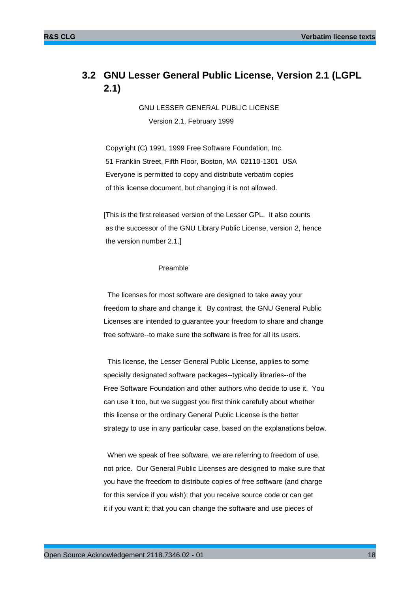#### <span id="page-17-0"></span>**3.2 GNU Lesser General Public License, Version 2.1 (LGPL 2.1)**

 GNU LESSER GENERAL PUBLIC LICENSE Version 2.1, February 1999

Copyright (C) 1991, 1999 Free Software Foundation, Inc. 51 Franklin Street, Fifth Floor, Boston, MA 02110-1301 USA Everyone is permitted to copy and distribute verbatim copies of this license document, but changing it is not allowed.

[This is the first released version of the Lesser GPL. It also counts as the successor of the GNU Library Public License, version 2, hence the version number 2.1.]

#### Preamble

 The licenses for most software are designed to take away your freedom to share and change it. By contrast, the GNU General Public Licenses are intended to guarantee your freedom to share and change free software--to make sure the software is free for all its users.

 This license, the Lesser General Public License, applies to some specially designated software packages--typically libraries--of the Free Software Foundation and other authors who decide to use it. You can use it too, but we suggest you first think carefully about whether this license or the ordinary General Public License is the better strategy to use in any particular case, based on the explanations below.

 When we speak of free software, we are referring to freedom of use, not price. Our General Public Licenses are designed to make sure that you have the freedom to distribute copies of free software (and charge for this service if you wish); that you receive source code or can get it if you want it; that you can change the software and use pieces of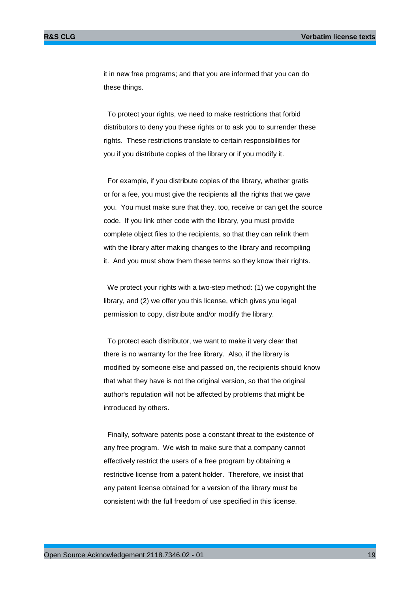it in new free programs; and that you are informed that you can do these things.

 To protect your rights, we need to make restrictions that forbid distributors to deny you these rights or to ask you to surrender these rights. These restrictions translate to certain responsibilities for you if you distribute copies of the library or if you modify it.

 For example, if you distribute copies of the library, whether gratis or for a fee, you must give the recipients all the rights that we gave you. You must make sure that they, too, receive or can get the source code. If you link other code with the library, you must provide complete object files to the recipients, so that they can relink them with the library after making changes to the library and recompiling it. And you must show them these terms so they know their rights.

 We protect your rights with a two-step method: (1) we copyright the library, and (2) we offer you this license, which gives you legal permission to copy, distribute and/or modify the library.

 To protect each distributor, we want to make it very clear that there is no warranty for the free library. Also, if the library is modified by someone else and passed on, the recipients should know that what they have is not the original version, so that the original author's reputation will not be affected by problems that might be introduced by others.

 Finally, software patents pose a constant threat to the existence of any free program. We wish to make sure that a company cannot effectively restrict the users of a free program by obtaining a restrictive license from a patent holder. Therefore, we insist that any patent license obtained for a version of the library must be consistent with the full freedom of use specified in this license.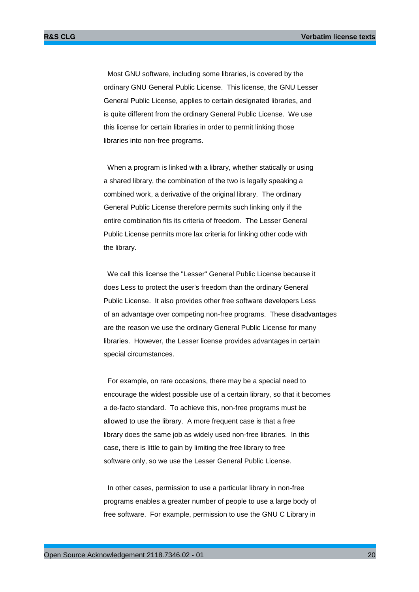Most GNU software, including some libraries, is covered by the ordinary GNU General Public License. This license, the GNU Lesser General Public License, applies to certain designated libraries, and is quite different from the ordinary General Public License. We use this license for certain libraries in order to permit linking those libraries into non-free programs.

 When a program is linked with a library, whether statically or using a shared library, the combination of the two is legally speaking a combined work, a derivative of the original library. The ordinary General Public License therefore permits such linking only if the entire combination fits its criteria of freedom. The Lesser General Public License permits more lax criteria for linking other code with the library.

 We call this license the "Lesser" General Public License because it does Less to protect the user's freedom than the ordinary General Public License. It also provides other free software developers Less of an advantage over competing non-free programs. These disadvantages are the reason we use the ordinary General Public License for many libraries. However, the Lesser license provides advantages in certain special circumstances.

 For example, on rare occasions, there may be a special need to encourage the widest possible use of a certain library, so that it becomes a de-facto standard. To achieve this, non-free programs must be allowed to use the library. A more frequent case is that a free library does the same job as widely used non-free libraries. In this case, there is little to gain by limiting the free library to free software only, so we use the Lesser General Public License.

 In other cases, permission to use a particular library in non-free programs enables a greater number of people to use a large body of free software. For example, permission to use the GNU C Library in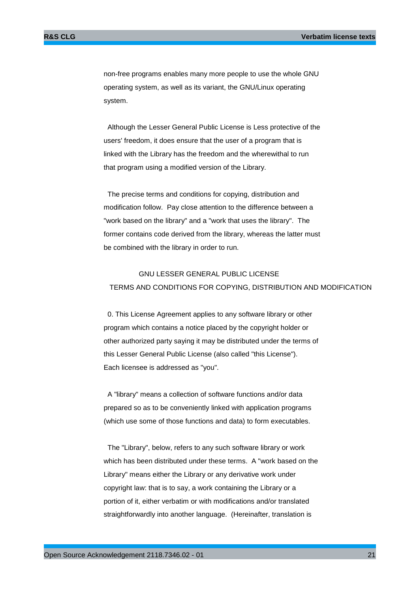non-free programs enables many more people to use the whole GNU operating system, as well as its variant, the GNU/Linux operating system.

 Although the Lesser General Public License is Less protective of the users' freedom, it does ensure that the user of a program that is linked with the Library has the freedom and the wherewithal to run that program using a modified version of the Library.

 The precise terms and conditions for copying, distribution and modification follow. Pay close attention to the difference between a "work based on the library" and a "work that uses the library". The former contains code derived from the library, whereas the latter must be combined with the library in order to run.

#### GNU LESSER GENERAL PUBLIC LICENSE TERMS AND CONDITIONS FOR COPYING, DISTRIBUTION AND MODIFICATION

 0. This License Agreement applies to any software library or other program which contains a notice placed by the copyright holder or other authorized party saying it may be distributed under the terms of this Lesser General Public License (also called "this License"). Each licensee is addressed as "you".

 A "library" means a collection of software functions and/or data prepared so as to be conveniently linked with application programs (which use some of those functions and data) to form executables.

 The "Library", below, refers to any such software library or work which has been distributed under these terms. A "work based on the Library" means either the Library or any derivative work under copyright law: that is to say, a work containing the Library or a portion of it, either verbatim or with modifications and/or translated straightforwardly into another language. (Hereinafter, translation is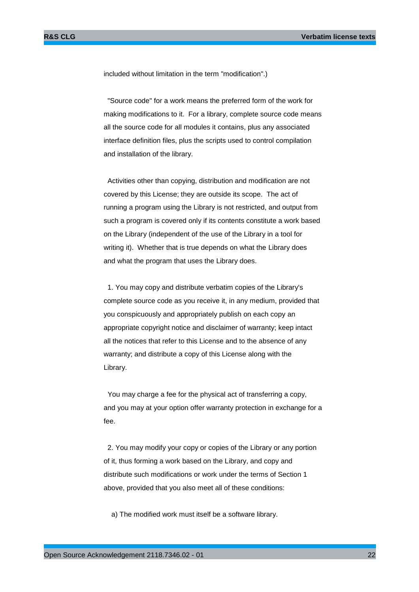included without limitation in the term "modification".)

 "Source code" for a work means the preferred form of the work for making modifications to it. For a library, complete source code means all the source code for all modules it contains, plus any associated interface definition files, plus the scripts used to control compilation and installation of the library.

 Activities other than copying, distribution and modification are not covered by this License; they are outside its scope. The act of running a program using the Library is not restricted, and output from such a program is covered only if its contents constitute a work based on the Library (independent of the use of the Library in a tool for writing it). Whether that is true depends on what the Library does and what the program that uses the Library does.

 1. You may copy and distribute verbatim copies of the Library's complete source code as you receive it, in any medium, provided that you conspicuously and appropriately publish on each copy an appropriate copyright notice and disclaimer of warranty; keep intact all the notices that refer to this License and to the absence of any warranty; and distribute a copy of this License along with the Library.

 You may charge a fee for the physical act of transferring a copy, and you may at your option offer warranty protection in exchange for a fee.

 2. You may modify your copy or copies of the Library or any portion of it, thus forming a work based on the Library, and copy and distribute such modifications or work under the terms of Section 1 above, provided that you also meet all of these conditions:

a) The modified work must itself be a software library.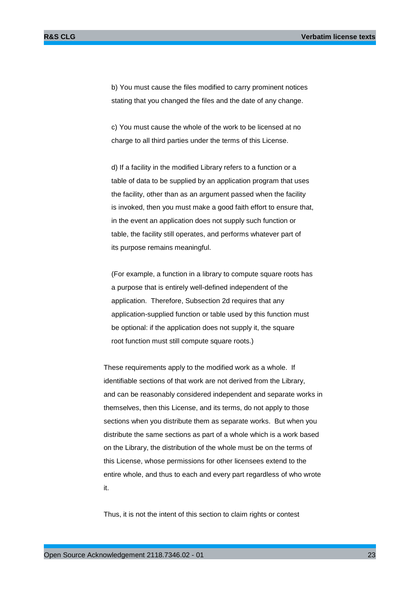b) You must cause the files modified to carry prominent notices stating that you changed the files and the date of any change.

 c) You must cause the whole of the work to be licensed at no charge to all third parties under the terms of this License.

 d) If a facility in the modified Library refers to a function or a table of data to be supplied by an application program that uses the facility, other than as an argument passed when the facility is invoked, then you must make a good faith effort to ensure that, in the event an application does not supply such function or table, the facility still operates, and performs whatever part of its purpose remains meaningful.

 (For example, a function in a library to compute square roots has a purpose that is entirely well-defined independent of the application. Therefore, Subsection 2d requires that any application-supplied function or table used by this function must be optional: if the application does not supply it, the square root function must still compute square roots.)

These requirements apply to the modified work as a whole. If identifiable sections of that work are not derived from the Library, and can be reasonably considered independent and separate works in themselves, then this License, and its terms, do not apply to those sections when you distribute them as separate works. But when you distribute the same sections as part of a whole which is a work based on the Library, the distribution of the whole must be on the terms of this License, whose permissions for other licensees extend to the entire whole, and thus to each and every part regardless of who wrote it.

Thus, it is not the intent of this section to claim rights or contest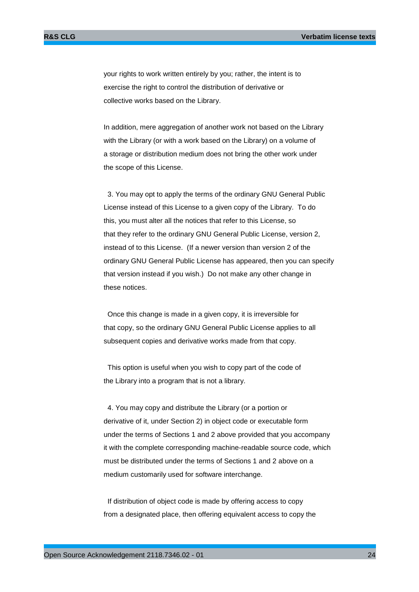your rights to work written entirely by you; rather, the intent is to exercise the right to control the distribution of derivative or collective works based on the Library.

In addition, mere aggregation of another work not based on the Library with the Library (or with a work based on the Library) on a volume of a storage or distribution medium does not bring the other work under the scope of this License.

 3. You may opt to apply the terms of the ordinary GNU General Public License instead of this License to a given copy of the Library. To do this, you must alter all the notices that refer to this License, so that they refer to the ordinary GNU General Public License, version 2, instead of to this License. (If a newer version than version 2 of the ordinary GNU General Public License has appeared, then you can specify that version instead if you wish.) Do not make any other change in these notices.

 Once this change is made in a given copy, it is irreversible for that copy, so the ordinary GNU General Public License applies to all subsequent copies and derivative works made from that copy.

 This option is useful when you wish to copy part of the code of the Library into a program that is not a library.

 4. You may copy and distribute the Library (or a portion or derivative of it, under Section 2) in object code or executable form under the terms of Sections 1 and 2 above provided that you accompany it with the complete corresponding machine-readable source code, which must be distributed under the terms of Sections 1 and 2 above on a medium customarily used for software interchange.

 If distribution of object code is made by offering access to copy from a designated place, then offering equivalent access to copy the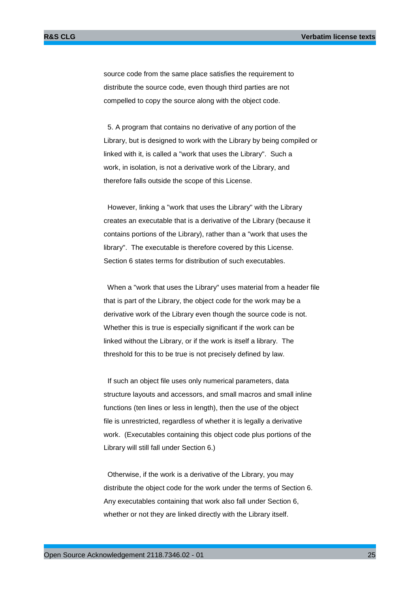source code from the same place satisfies the requirement to distribute the source code, even though third parties are not compelled to copy the source along with the object code.

 5. A program that contains no derivative of any portion of the Library, but is designed to work with the Library by being compiled or linked with it, is called a "work that uses the Library". Such a work, in isolation, is not a derivative work of the Library, and therefore falls outside the scope of this License.

 However, linking a "work that uses the Library" with the Library creates an executable that is a derivative of the Library (because it contains portions of the Library), rather than a "work that uses the library". The executable is therefore covered by this License. Section 6 states terms for distribution of such executables.

 When a "work that uses the Library" uses material from a header file that is part of the Library, the object code for the work may be a derivative work of the Library even though the source code is not. Whether this is true is especially significant if the work can be linked without the Library, or if the work is itself a library. The threshold for this to be true is not precisely defined by law.

 If such an object file uses only numerical parameters, data structure layouts and accessors, and small macros and small inline functions (ten lines or less in length), then the use of the object file is unrestricted, regardless of whether it is legally a derivative work. (Executables containing this object code plus portions of the Library will still fall under Section 6.)

 Otherwise, if the work is a derivative of the Library, you may distribute the object code for the work under the terms of Section 6. Any executables containing that work also fall under Section 6, whether or not they are linked directly with the Library itself.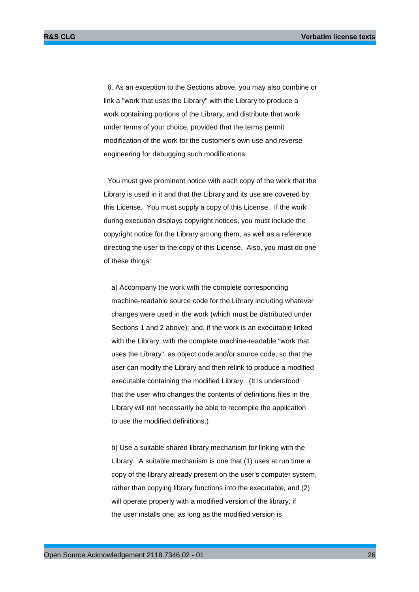6. As an exception to the Sections above, you may also combine or link a "work that uses the Library" with the Library to produce a work containing portions of the Library, and distribute that work under terms of your choice, provided that the terms permit modification of the work for the customer's own use and reverse engineering for debugging such modifications.

 You must give prominent notice with each copy of the work that the Library is used in it and that the Library and its use are covered by this License. You must supply a copy of this License. If the work during execution displays copyright notices, you must include the copyright notice for the Library among them, as well as a reference directing the user to the copy of this License. Also, you must do one of these things:

 a) Accompany the work with the complete corresponding machine-readable source code for the Library including whatever changes were used in the work (which must be distributed under Sections 1 and 2 above); and, if the work is an executable linked with the Library, with the complete machine-readable "work that uses the Library", as object code and/or source code, so that the user can modify the Library and then relink to produce a modified executable containing the modified Library. (It is understood that the user who changes the contents of definitions files in the Library will not necessarily be able to recompile the application to use the modified definitions.)

 b) Use a suitable shared library mechanism for linking with the Library. A suitable mechanism is one that (1) uses at run time a copy of the library already present on the user's computer system, rather than copying library functions into the executable, and (2) will operate properly with a modified version of the library, if the user installs one, as long as the modified version is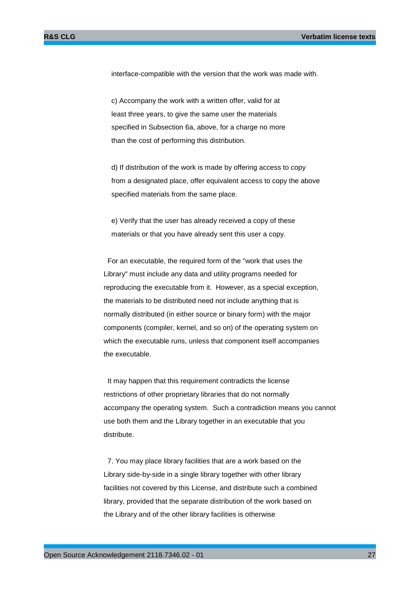interface-compatible with the version that the work was made with.

 c) Accompany the work with a written offer, valid for at least three years, to give the same user the materials specified in Subsection 6a, above, for a charge no more than the cost of performing this distribution.

 d) If distribution of the work is made by offering access to copy from a designated place, offer equivalent access to copy the above specified materials from the same place.

 e) Verify that the user has already received a copy of these materials or that you have already sent this user a copy.

 For an executable, the required form of the "work that uses the Library" must include any data and utility programs needed for reproducing the executable from it. However, as a special exception, the materials to be distributed need not include anything that is normally distributed (in either source or binary form) with the major components (compiler, kernel, and so on) of the operating system on which the executable runs, unless that component itself accompanies the executable.

 It may happen that this requirement contradicts the license restrictions of other proprietary libraries that do not normally accompany the operating system. Such a contradiction means you cannot use both them and the Library together in an executable that you distribute.

 7. You may place library facilities that are a work based on the Library side-by-side in a single library together with other library facilities not covered by this License, and distribute such a combined library, provided that the separate distribution of the work based on the Library and of the other library facilities is otherwise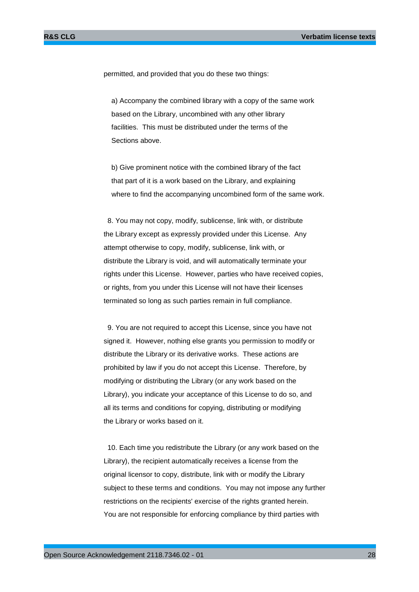permitted, and provided that you do these two things:

 a) Accompany the combined library with a copy of the same work based on the Library, uncombined with any other library facilities. This must be distributed under the terms of the Sections above.

 b) Give prominent notice with the combined library of the fact that part of it is a work based on the Library, and explaining where to find the accompanying uncombined form of the same work.

 8. You may not copy, modify, sublicense, link with, or distribute the Library except as expressly provided under this License. Any attempt otherwise to copy, modify, sublicense, link with, or distribute the Library is void, and will automatically terminate your rights under this License. However, parties who have received copies, or rights, from you under this License will not have their licenses terminated so long as such parties remain in full compliance.

 9. You are not required to accept this License, since you have not signed it. However, nothing else grants you permission to modify or distribute the Library or its derivative works. These actions are prohibited by law if you do not accept this License. Therefore, by modifying or distributing the Library (or any work based on the Library), you indicate your acceptance of this License to do so, and all its terms and conditions for copying, distributing or modifying the Library or works based on it.

 10. Each time you redistribute the Library (or any work based on the Library), the recipient automatically receives a license from the original licensor to copy, distribute, link with or modify the Library subject to these terms and conditions. You may not impose any further restrictions on the recipients' exercise of the rights granted herein. You are not responsible for enforcing compliance by third parties with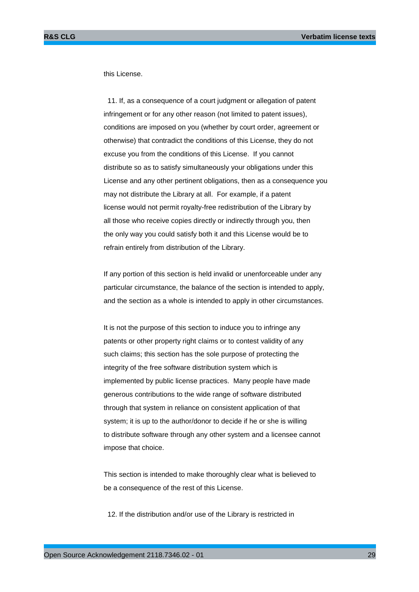this License.

 11. If, as a consequence of a court judgment or allegation of patent infringement or for any other reason (not limited to patent issues), conditions are imposed on you (whether by court order, agreement or otherwise) that contradict the conditions of this License, they do not excuse you from the conditions of this License. If you cannot distribute so as to satisfy simultaneously your obligations under this License and any other pertinent obligations, then as a consequence you may not distribute the Library at all. For example, if a patent license would not permit royalty-free redistribution of the Library by all those who receive copies directly or indirectly through you, then the only way you could satisfy both it and this License would be to refrain entirely from distribution of the Library.

If any portion of this section is held invalid or unenforceable under any particular circumstance, the balance of the section is intended to apply, and the section as a whole is intended to apply in other circumstances.

It is not the purpose of this section to induce you to infringe any patents or other property right claims or to contest validity of any such claims; this section has the sole purpose of protecting the integrity of the free software distribution system which is implemented by public license practices. Many people have made generous contributions to the wide range of software distributed through that system in reliance on consistent application of that system; it is up to the author/donor to decide if he or she is willing to distribute software through any other system and a licensee cannot impose that choice.

This section is intended to make thoroughly clear what is believed to be a consequence of the rest of this License.

12. If the distribution and/or use of the Library is restricted in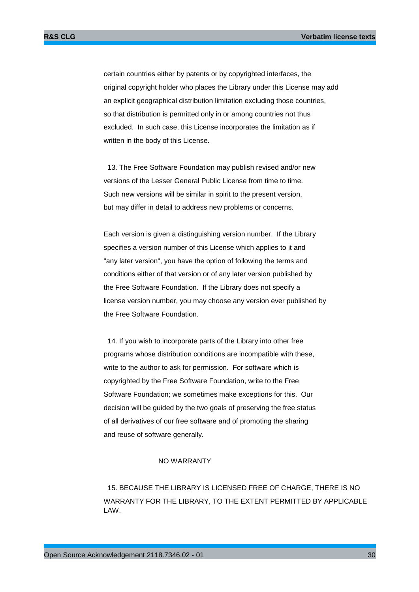certain countries either by patents or by copyrighted interfaces, the original copyright holder who places the Library under this License may add an explicit geographical distribution limitation excluding those countries, so that distribution is permitted only in or among countries not thus excluded. In such case, this License incorporates the limitation as if written in the body of this License.

 13. The Free Software Foundation may publish revised and/or new versions of the Lesser General Public License from time to time. Such new versions will be similar in spirit to the present version, but may differ in detail to address new problems or concerns.

Each version is given a distinguishing version number. If the Library specifies a version number of this License which applies to it and "any later version", you have the option of following the terms and conditions either of that version or of any later version published by the Free Software Foundation. If the Library does not specify a license version number, you may choose any version ever published by the Free Software Foundation.

 14. If you wish to incorporate parts of the Library into other free programs whose distribution conditions are incompatible with these, write to the author to ask for permission. For software which is copyrighted by the Free Software Foundation, write to the Free Software Foundation; we sometimes make exceptions for this. Our decision will be guided by the two goals of preserving the free status of all derivatives of our free software and of promoting the sharing and reuse of software generally.

#### NO WARRANTY

 15. BECAUSE THE LIBRARY IS LICENSED FREE OF CHARGE, THERE IS NO WARRANTY FOR THE LIBRARY, TO THE EXTENT PERMITTED BY APPLICABLE LAW.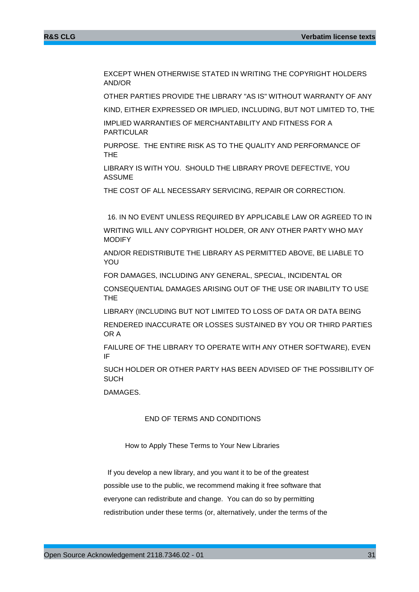EXCEPT WHEN OTHERWISE STATED IN WRITING THE COPYRIGHT HOLDERS AND/OR

OTHER PARTIES PROVIDE THE LIBRARY "AS IS" WITHOUT WARRANTY OF ANY

KIND, EITHER EXPRESSED OR IMPLIED, INCLUDING, BUT NOT LIMITED TO, THE

IMPLIED WARRANTIES OF MERCHANTABILITY AND FITNESS FOR A PARTICULAR

PURPOSE. THE ENTIRE RISK AS TO THE QUALITY AND PERFORMANCE OF THE

LIBRARY IS WITH YOU. SHOULD THE LIBRARY PROVE DEFECTIVE, YOU ASSUME

THE COST OF ALL NECESSARY SERVICING, REPAIR OR CORRECTION.

16. IN NO EVENT UNLESS REQUIRED BY APPLICABLE LAW OR AGREED TO IN

WRITING WILL ANY COPYRIGHT HOLDER, OR ANY OTHER PARTY WHO MAY MODIFY

AND/OR REDISTRIBUTE THE LIBRARY AS PERMITTED ABOVE, BE LIABLE TO YOU

FOR DAMAGES, INCLUDING ANY GENERAL, SPECIAL, INCIDENTAL OR

CONSEQUENTIAL DAMAGES ARISING OUT OF THE USE OR INABILITY TO USE THE

LIBRARY (INCLUDING BUT NOT LIMITED TO LOSS OF DATA OR DATA BEING

RENDERED INACCURATE OR LOSSES SUSTAINED BY YOU OR THIRD PARTIES OR A

FAILURE OF THE LIBRARY TO OPERATE WITH ANY OTHER SOFTWARE), EVEN IF

SUCH HOLDER OR OTHER PARTY HAS BEEN ADVISED OF THE POSSIBILITY OF SUCH

DAMAGES.

#### END OF TERMS AND CONDITIONS

How to Apply These Terms to Your New Libraries

 If you develop a new library, and you want it to be of the greatest possible use to the public, we recommend making it free software that everyone can redistribute and change. You can do so by permitting redistribution under these terms (or, alternatively, under the terms of the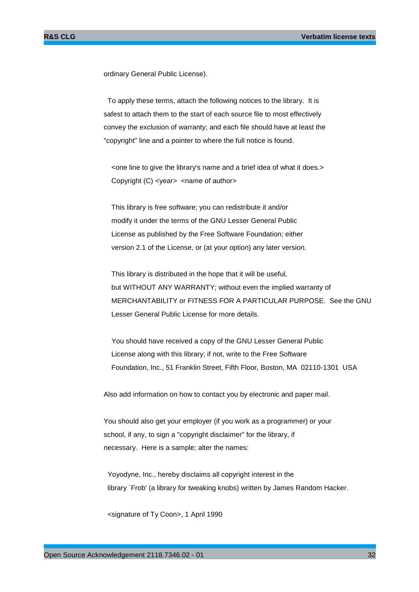ordinary General Public License).

 To apply these terms, attach the following notices to the library. It is safest to attach them to the start of each source file to most effectively convey the exclusion of warranty; and each file should have at least the "copyright" line and a pointer to where the full notice is found.

 <one line to give the library's name and a brief idea of what it does.> Copyright (C) <year> <name of author>

 This library is free software; you can redistribute it and/or modify it under the terms of the GNU Lesser General Public License as published by the Free Software Foundation; either version 2.1 of the License, or (at your option) any later version.

 This library is distributed in the hope that it will be useful, but WITHOUT ANY WARRANTY; without even the implied warranty of MERCHANTABILITY or FITNESS FOR A PARTICULAR PURPOSE. See the GNU Lesser General Public License for more details.

 You should have received a copy of the GNU Lesser General Public License along with this library; if not, write to the Free Software Foundation, Inc., 51 Franklin Street, Fifth Floor, Boston, MA 02110-1301 USA

Also add information on how to contact you by electronic and paper mail.

You should also get your employer (if you work as a programmer) or your school, if any, to sign a "copyright disclaimer" for the library, if necessary. Here is a sample; alter the names:

 Yoyodyne, Inc., hereby disclaims all copyright interest in the library `Frob' (a library for tweaking knobs) written by James Random Hacker.

<signature of Ty Coon>, 1 April 1990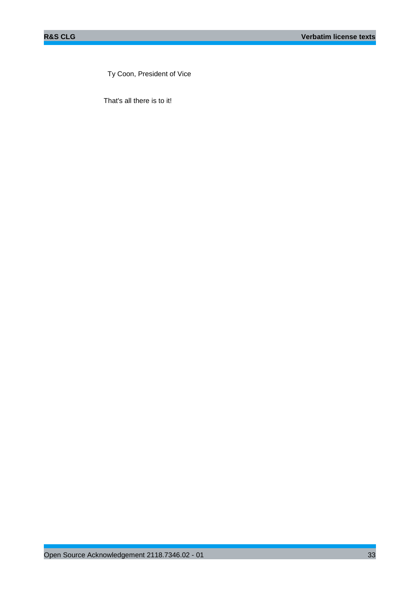Ty Coon, President of Vice

That's all there is to it!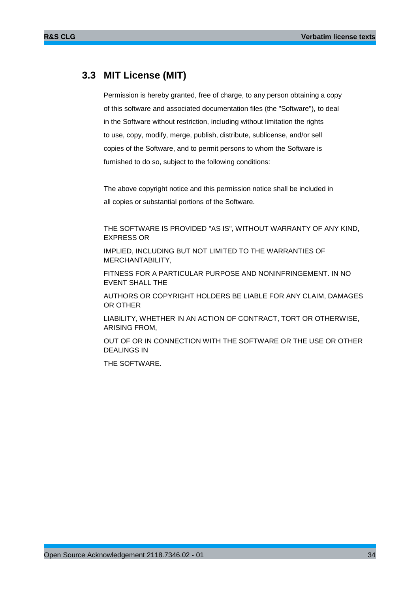#### <span id="page-33-0"></span>**3.3 MIT License (MIT)**

Permission is hereby granted, free of charge, to any person obtaining a copy of this software and associated documentation files (the "Software"), to deal in the Software without restriction, including without limitation the rights to use, copy, modify, merge, publish, distribute, sublicense, and/or sell copies of the Software, and to permit persons to whom the Software is furnished to do so, subject to the following conditions:

The above copyright notice and this permission notice shall be included in all copies or substantial portions of the Software.

THE SOFTWARE IS PROVIDED "AS IS", WITHOUT WARRANTY OF ANY KIND, EXPRESS OR

IMPLIED, INCLUDING BUT NOT LIMITED TO THE WARRANTIES OF MERCHANTABILITY,

FITNESS FOR A PARTICULAR PURPOSE AND NONINFRINGEMENT. IN NO EVENT SHALL THE

AUTHORS OR COPYRIGHT HOLDERS BE LIABLE FOR ANY CLAIM, DAMAGES OR OTHER

LIABILITY, WHETHER IN AN ACTION OF CONTRACT, TORT OR OTHERWISE, ARISING FROM,

OUT OF OR IN CONNECTION WITH THE SOFTWARE OR THE USE OR OTHER DEALINGS IN

THE SOFTWARE.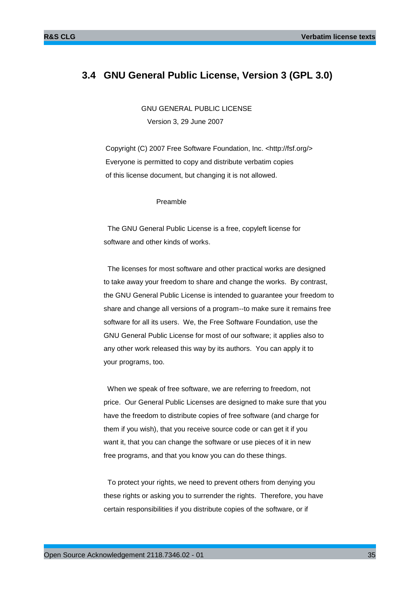#### <span id="page-34-0"></span>**3.4 GNU General Public License, Version 3 (GPL 3.0)**

GNU GENERAL PUBLIC LICENSE

Version 3, 29 June 2007

Copyright (C) 2007 Free Software Foundation, Inc. <http://fsf.org/> Everyone is permitted to copy and distribute verbatim copies of this license document, but changing it is not allowed.

Preamble

 The GNU General Public License is a free, copyleft license for software and other kinds of works.

 The licenses for most software and other practical works are designed to take away your freedom to share and change the works. By contrast, the GNU General Public License is intended to guarantee your freedom to share and change all versions of a program--to make sure it remains free software for all its users. We, the Free Software Foundation, use the GNU General Public License for most of our software; it applies also to any other work released this way by its authors. You can apply it to your programs, too.

 When we speak of free software, we are referring to freedom, not price. Our General Public Licenses are designed to make sure that you have the freedom to distribute copies of free software (and charge for them if you wish), that you receive source code or can get it if you want it, that you can change the software or use pieces of it in new free programs, and that you know you can do these things.

 To protect your rights, we need to prevent others from denying you these rights or asking you to surrender the rights. Therefore, you have certain responsibilities if you distribute copies of the software, or if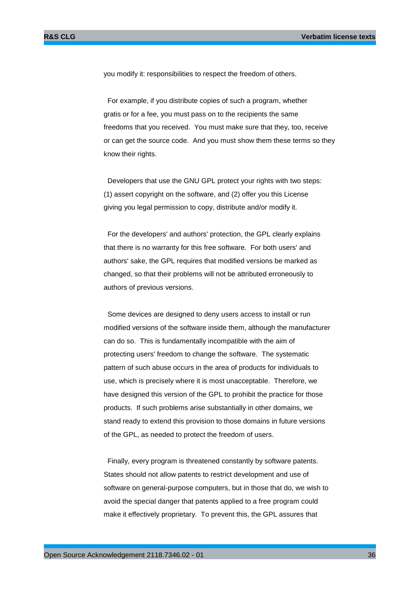you modify it: responsibilities to respect the freedom of others.

 For example, if you distribute copies of such a program, whether gratis or for a fee, you must pass on to the recipients the same freedoms that you received. You must make sure that they, too, receive or can get the source code. And you must show them these terms so they know their rights.

 Developers that use the GNU GPL protect your rights with two steps: (1) assert copyright on the software, and (2) offer you this License giving you legal permission to copy, distribute and/or modify it.

 For the developers' and authors' protection, the GPL clearly explains that there is no warranty for this free software. For both users' and authors' sake, the GPL requires that modified versions be marked as changed, so that their problems will not be attributed erroneously to authors of previous versions.

 Some devices are designed to deny users access to install or run modified versions of the software inside them, although the manufacturer can do so. This is fundamentally incompatible with the aim of protecting users' freedom to change the software. The systematic pattern of such abuse occurs in the area of products for individuals to use, which is precisely where it is most unacceptable. Therefore, we have designed this version of the GPL to prohibit the practice for those products. If such problems arise substantially in other domains, we stand ready to extend this provision to those domains in future versions of the GPL, as needed to protect the freedom of users.

 Finally, every program is threatened constantly by software patents. States should not allow patents to restrict development and use of software on general-purpose computers, but in those that do, we wish to avoid the special danger that patents applied to a free program could make it effectively proprietary. To prevent this, the GPL assures that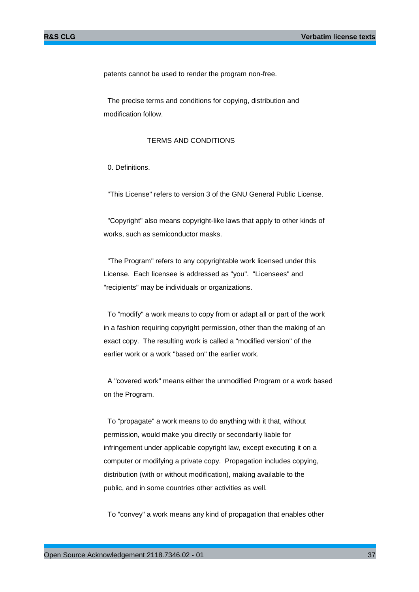patents cannot be used to render the program non-free.

 The precise terms and conditions for copying, distribution and modification follow.

#### TERMS AND CONDITIONS

0. Definitions.

"This License" refers to version 3 of the GNU General Public License.

 "Copyright" also means copyright-like laws that apply to other kinds of works, such as semiconductor masks.

 "The Program" refers to any copyrightable work licensed under this License. Each licensee is addressed as "you". "Licensees" and "recipients" may be individuals or organizations.

 To "modify" a work means to copy from or adapt all or part of the work in a fashion requiring copyright permission, other than the making of an exact copy. The resulting work is called a "modified version" of the earlier work or a work "based on" the earlier work.

 A "covered work" means either the unmodified Program or a work based on the Program.

 To "propagate" a work means to do anything with it that, without permission, would make you directly or secondarily liable for infringement under applicable copyright law, except executing it on a computer or modifying a private copy. Propagation includes copying, distribution (with or without modification), making available to the public, and in some countries other activities as well.

To "convey" a work means any kind of propagation that enables other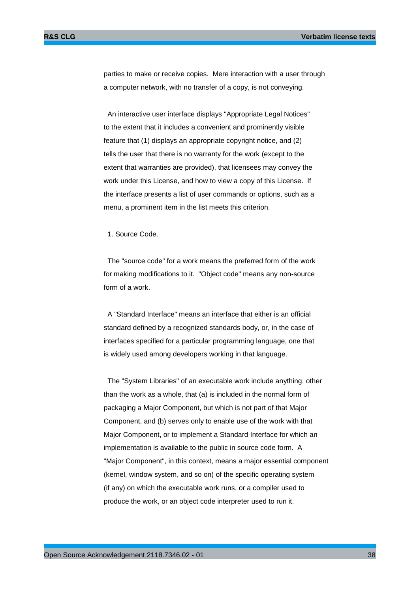parties to make or receive copies. Mere interaction with a user through a computer network, with no transfer of a copy, is not conveying.

 An interactive user interface displays "Appropriate Legal Notices" to the extent that it includes a convenient and prominently visible feature that (1) displays an appropriate copyright notice, and (2) tells the user that there is no warranty for the work (except to the extent that warranties are provided), that licensees may convey the work under this License, and how to view a copy of this License. If the interface presents a list of user commands or options, such as a menu, a prominent item in the list meets this criterion.

1. Source Code.

 The "source code" for a work means the preferred form of the work for making modifications to it. "Object code" means any non-source form of a work.

 A "Standard Interface" means an interface that either is an official standard defined by a recognized standards body, or, in the case of interfaces specified for a particular programming language, one that is widely used among developers working in that language.

 The "System Libraries" of an executable work include anything, other than the work as a whole, that (a) is included in the normal form of packaging a Major Component, but which is not part of that Major Component, and (b) serves only to enable use of the work with that Major Component, or to implement a Standard Interface for which an implementation is available to the public in source code form. A "Major Component", in this context, means a major essential component (kernel, window system, and so on) of the specific operating system (if any) on which the executable work runs, or a compiler used to produce the work, or an object code interpreter used to run it.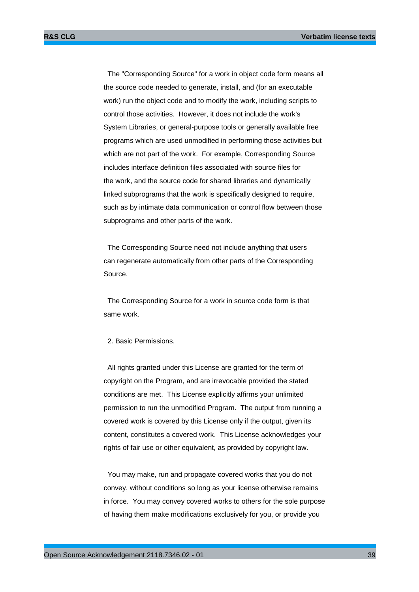The "Corresponding Source" for a work in object code form means all the source code needed to generate, install, and (for an executable work) run the object code and to modify the work, including scripts to control those activities. However, it does not include the work's System Libraries, or general-purpose tools or generally available free programs which are used unmodified in performing those activities but which are not part of the work. For example, Corresponding Source includes interface definition files associated with source files for the work, and the source code for shared libraries and dynamically linked subprograms that the work is specifically designed to require, such as by intimate data communication or control flow between those subprograms and other parts of the work.

 The Corresponding Source need not include anything that users can regenerate automatically from other parts of the Corresponding Source.

 The Corresponding Source for a work in source code form is that same work.

#### 2. Basic Permissions.

 All rights granted under this License are granted for the term of copyright on the Program, and are irrevocable provided the stated conditions are met. This License explicitly affirms your unlimited permission to run the unmodified Program. The output from running a covered work is covered by this License only if the output, given its content, constitutes a covered work. This License acknowledges your rights of fair use or other equivalent, as provided by copyright law.

 You may make, run and propagate covered works that you do not convey, without conditions so long as your license otherwise remains in force. You may convey covered works to others for the sole purpose of having them make modifications exclusively for you, or provide you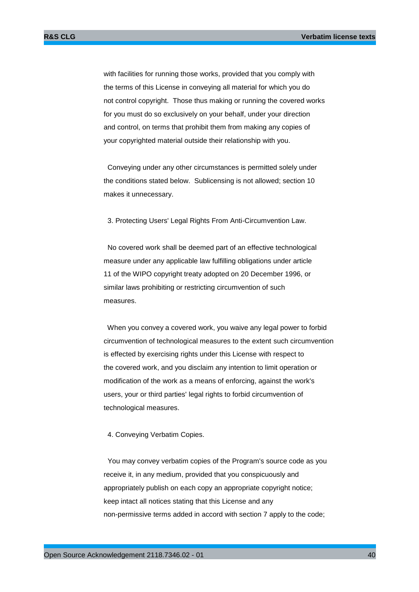with facilities for running those works, provided that you comply with the terms of this License in conveying all material for which you do not control copyright. Those thus making or running the covered works for you must do so exclusively on your behalf, under your direction and control, on terms that prohibit them from making any copies of your copyrighted material outside their relationship with you.

 Conveying under any other circumstances is permitted solely under the conditions stated below. Sublicensing is not allowed; section 10 makes it unnecessary.

3. Protecting Users' Legal Rights From Anti-Circumvention Law.

 No covered work shall be deemed part of an effective technological measure under any applicable law fulfilling obligations under article 11 of the WIPO copyright treaty adopted on 20 December 1996, or similar laws prohibiting or restricting circumvention of such measures.

 When you convey a covered work, you waive any legal power to forbid circumvention of technological measures to the extent such circumvention is effected by exercising rights under this License with respect to the covered work, and you disclaim any intention to limit operation or modification of the work as a means of enforcing, against the work's users, your or third parties' legal rights to forbid circumvention of technological measures.

### 4. Conveying Verbatim Copies.

 You may convey verbatim copies of the Program's source code as you receive it, in any medium, provided that you conspicuously and appropriately publish on each copy an appropriate copyright notice; keep intact all notices stating that this License and any non-permissive terms added in accord with section 7 apply to the code;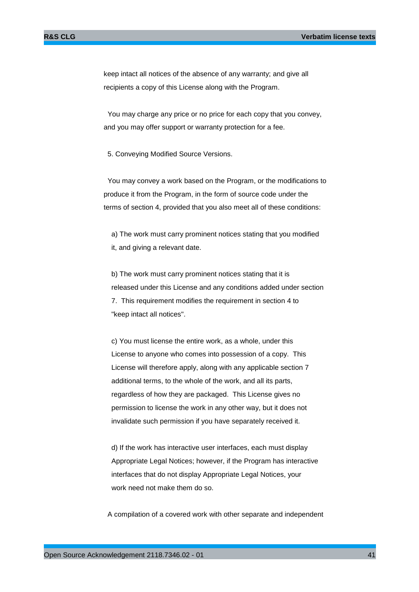keep intact all notices of the absence of any warranty; and give all recipients a copy of this License along with the Program.

 You may charge any price or no price for each copy that you convey, and you may offer support or warranty protection for a fee.

5. Conveying Modified Source Versions.

 You may convey a work based on the Program, or the modifications to produce it from the Program, in the form of source code under the terms of section 4, provided that you also meet all of these conditions:

 a) The work must carry prominent notices stating that you modified it, and giving a relevant date.

 b) The work must carry prominent notices stating that it is released under this License and any conditions added under section 7. This requirement modifies the requirement in section 4 to "keep intact all notices".

 c) You must license the entire work, as a whole, under this License to anyone who comes into possession of a copy. This License will therefore apply, along with any applicable section 7 additional terms, to the whole of the work, and all its parts, regardless of how they are packaged. This License gives no permission to license the work in any other way, but it does not invalidate such permission if you have separately received it.

 d) If the work has interactive user interfaces, each must display Appropriate Legal Notices; however, if the Program has interactive interfaces that do not display Appropriate Legal Notices, your work need not make them do so.

A compilation of a covered work with other separate and independent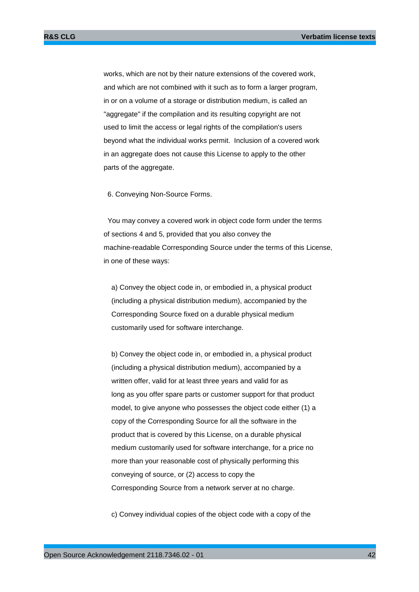works, which are not by their nature extensions of the covered work, and which are not combined with it such as to form a larger program, in or on a volume of a storage or distribution medium, is called an "aggregate" if the compilation and its resulting copyright are not used to limit the access or legal rights of the compilation's users beyond what the individual works permit. Inclusion of a covered work in an aggregate does not cause this License to apply to the other parts of the aggregate.

6. Conveying Non-Source Forms.

 You may convey a covered work in object code form under the terms of sections 4 and 5, provided that you also convey the machine-readable Corresponding Source under the terms of this License, in one of these ways:

 a) Convey the object code in, or embodied in, a physical product (including a physical distribution medium), accompanied by the Corresponding Source fixed on a durable physical medium customarily used for software interchange.

 b) Convey the object code in, or embodied in, a physical product (including a physical distribution medium), accompanied by a written offer, valid for at least three years and valid for as long as you offer spare parts or customer support for that product model, to give anyone who possesses the object code either (1) a copy of the Corresponding Source for all the software in the product that is covered by this License, on a durable physical medium customarily used for software interchange, for a price no more than your reasonable cost of physically performing this conveying of source, or (2) access to copy the Corresponding Source from a network server at no charge.

c) Convey individual copies of the object code with a copy of the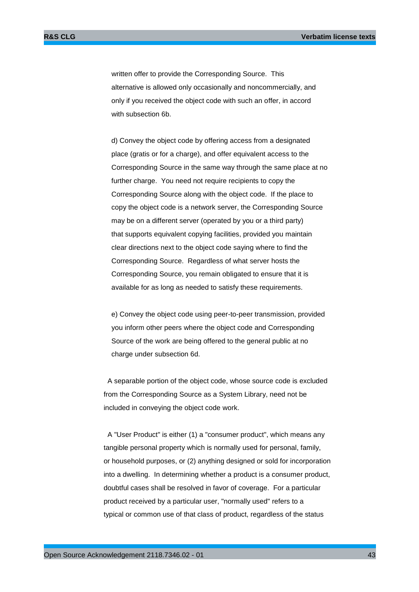written offer to provide the Corresponding Source. This alternative is allowed only occasionally and noncommercially, and only if you received the object code with such an offer, in accord with subsection 6b.

 d) Convey the object code by offering access from a designated place (gratis or for a charge), and offer equivalent access to the Corresponding Source in the same way through the same place at no further charge. You need not require recipients to copy the Corresponding Source along with the object code. If the place to copy the object code is a network server, the Corresponding Source may be on a different server (operated by you or a third party) that supports equivalent copying facilities, provided you maintain clear directions next to the object code saying where to find the Corresponding Source. Regardless of what server hosts the Corresponding Source, you remain obligated to ensure that it is available for as long as needed to satisfy these requirements.

 e) Convey the object code using peer-to-peer transmission, provided you inform other peers where the object code and Corresponding Source of the work are being offered to the general public at no charge under subsection 6d.

 A separable portion of the object code, whose source code is excluded from the Corresponding Source as a System Library, need not be included in conveying the object code work.

 A "User Product" is either (1) a "consumer product", which means any tangible personal property which is normally used for personal, family, or household purposes, or (2) anything designed or sold for incorporation into a dwelling. In determining whether a product is a consumer product, doubtful cases shall be resolved in favor of coverage. For a particular product received by a particular user, "normally used" refers to a typical or common use of that class of product, regardless of the status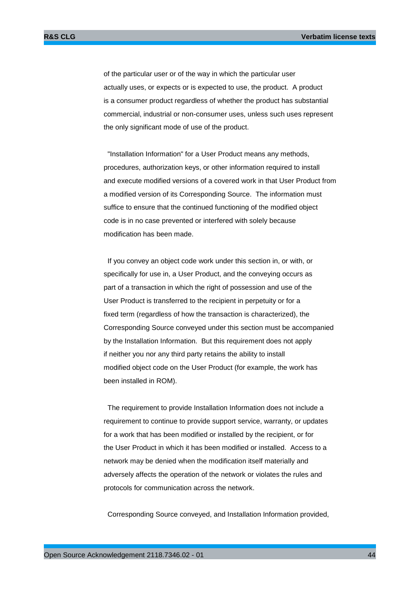of the particular user or of the way in which the particular user actually uses, or expects or is expected to use, the product. A product is a consumer product regardless of whether the product has substantial commercial, industrial or non-consumer uses, unless such uses represent the only significant mode of use of the product.

 "Installation Information" for a User Product means any methods, procedures, authorization keys, or other information required to install and execute modified versions of a covered work in that User Product from a modified version of its Corresponding Source. The information must suffice to ensure that the continued functioning of the modified object code is in no case prevented or interfered with solely because modification has been made.

 If you convey an object code work under this section in, or with, or specifically for use in, a User Product, and the conveying occurs as part of a transaction in which the right of possession and use of the User Product is transferred to the recipient in perpetuity or for a fixed term (regardless of how the transaction is characterized), the Corresponding Source conveyed under this section must be accompanied by the Installation Information. But this requirement does not apply if neither you nor any third party retains the ability to install modified object code on the User Product (for example, the work has been installed in ROM).

 The requirement to provide Installation Information does not include a requirement to continue to provide support service, warranty, or updates for a work that has been modified or installed by the recipient, or for the User Product in which it has been modified or installed. Access to a network may be denied when the modification itself materially and adversely affects the operation of the network or violates the rules and protocols for communication across the network.

Corresponding Source conveyed, and Installation Information provided,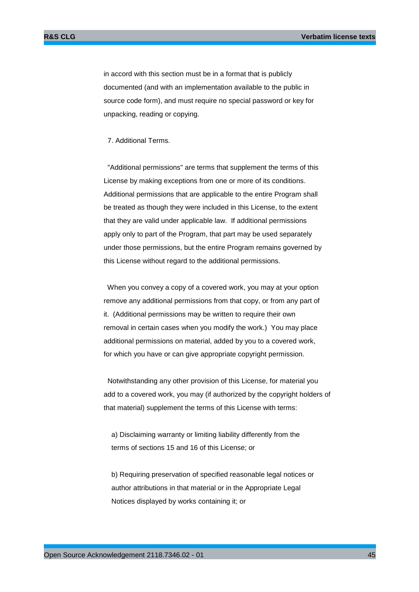in accord with this section must be in a format that is publicly documented (and with an implementation available to the public in source code form), and must require no special password or key for unpacking, reading or copying.

#### 7. Additional Terms.

 "Additional permissions" are terms that supplement the terms of this License by making exceptions from one or more of its conditions. Additional permissions that are applicable to the entire Program shall be treated as though they were included in this License, to the extent that they are valid under applicable law. If additional permissions apply only to part of the Program, that part may be used separately under those permissions, but the entire Program remains governed by this License without regard to the additional permissions.

 When you convey a copy of a covered work, you may at your option remove any additional permissions from that copy, or from any part of it. (Additional permissions may be written to require their own removal in certain cases when you modify the work.) You may place additional permissions on material, added by you to a covered work, for which you have or can give appropriate copyright permission.

 Notwithstanding any other provision of this License, for material you add to a covered work, you may (if authorized by the copyright holders of that material) supplement the terms of this License with terms:

 a) Disclaiming warranty or limiting liability differently from the terms of sections 15 and 16 of this License; or

 b) Requiring preservation of specified reasonable legal notices or author attributions in that material or in the Appropriate Legal Notices displayed by works containing it; or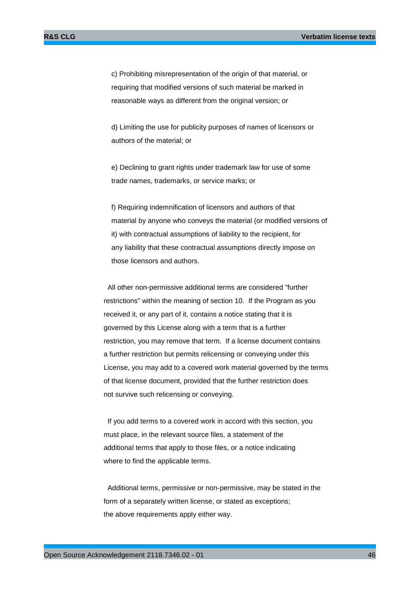c) Prohibiting misrepresentation of the origin of that material, or requiring that modified versions of such material be marked in reasonable ways as different from the original version; or

 d) Limiting the use for publicity purposes of names of licensors or authors of the material; or

 e) Declining to grant rights under trademark law for use of some trade names, trademarks, or service marks; or

 f) Requiring indemnification of licensors and authors of that material by anyone who conveys the material (or modified versions of it) with contractual assumptions of liability to the recipient, for any liability that these contractual assumptions directly impose on those licensors and authors.

 All other non-permissive additional terms are considered "further restrictions" within the meaning of section 10. If the Program as you received it, or any part of it, contains a notice stating that it is governed by this License along with a term that is a further restriction, you may remove that term. If a license document contains a further restriction but permits relicensing or conveying under this License, you may add to a covered work material governed by the terms of that license document, provided that the further restriction does not survive such relicensing or conveying.

 If you add terms to a covered work in accord with this section, you must place, in the relevant source files, a statement of the additional terms that apply to those files, or a notice indicating where to find the applicable terms.

 Additional terms, permissive or non-permissive, may be stated in the form of a separately written license, or stated as exceptions; the above requirements apply either way.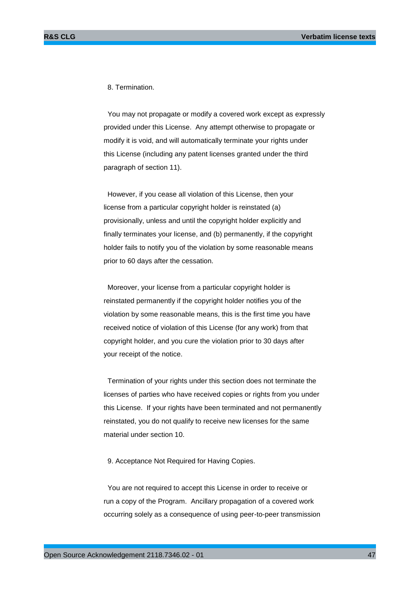8. Termination.

 You may not propagate or modify a covered work except as expressly provided under this License. Any attempt otherwise to propagate or modify it is void, and will automatically terminate your rights under this License (including any patent licenses granted under the third paragraph of section 11).

 However, if you cease all violation of this License, then your license from a particular copyright holder is reinstated (a) provisionally, unless and until the copyright holder explicitly and finally terminates your license, and (b) permanently, if the copyright holder fails to notify you of the violation by some reasonable means prior to 60 days after the cessation.

 Moreover, your license from a particular copyright holder is reinstated permanently if the copyright holder notifies you of the violation by some reasonable means, this is the first time you have received notice of violation of this License (for any work) from that copyright holder, and you cure the violation prior to 30 days after your receipt of the notice.

 Termination of your rights under this section does not terminate the licenses of parties who have received copies or rights from you under this License. If your rights have been terminated and not permanently reinstated, you do not qualify to receive new licenses for the same material under section 10.

9. Acceptance Not Required for Having Copies.

 You are not required to accept this License in order to receive or run a copy of the Program. Ancillary propagation of a covered work occurring solely as a consequence of using peer-to-peer transmission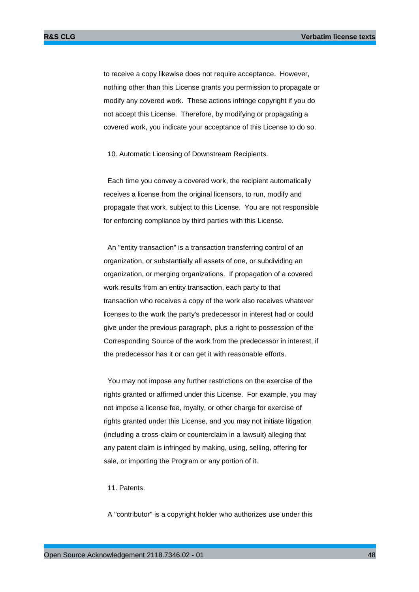to receive a copy likewise does not require acceptance. However, nothing other than this License grants you permission to propagate or modify any covered work. These actions infringe copyright if you do not accept this License. Therefore, by modifying or propagating a covered work, you indicate your acceptance of this License to do so.

10. Automatic Licensing of Downstream Recipients.

 Each time you convey a covered work, the recipient automatically receives a license from the original licensors, to run, modify and propagate that work, subject to this License. You are not responsible for enforcing compliance by third parties with this License.

 An "entity transaction" is a transaction transferring control of an organization, or substantially all assets of one, or subdividing an organization, or merging organizations. If propagation of a covered work results from an entity transaction, each party to that transaction who receives a copy of the work also receives whatever licenses to the work the party's predecessor in interest had or could give under the previous paragraph, plus a right to possession of the Corresponding Source of the work from the predecessor in interest, if the predecessor has it or can get it with reasonable efforts.

 You may not impose any further restrictions on the exercise of the rights granted or affirmed under this License. For example, you may not impose a license fee, royalty, or other charge for exercise of rights granted under this License, and you may not initiate litigation (including a cross-claim or counterclaim in a lawsuit) alleging that any patent claim is infringed by making, using, selling, offering for sale, or importing the Program or any portion of it.

11. Patents.

A "contributor" is a copyright holder who authorizes use under this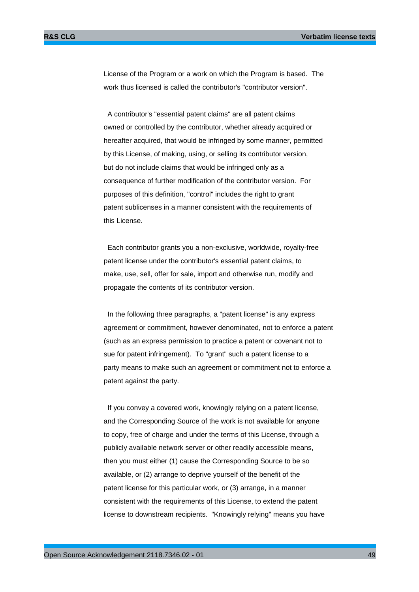License of the Program or a work on which the Program is based. The work thus licensed is called the contributor's "contributor version".

 A contributor's "essential patent claims" are all patent claims owned or controlled by the contributor, whether already acquired or hereafter acquired, that would be infringed by some manner, permitted by this License, of making, using, or selling its contributor version, but do not include claims that would be infringed only as a consequence of further modification of the contributor version. For purposes of this definition, "control" includes the right to grant patent sublicenses in a manner consistent with the requirements of this License.

 Each contributor grants you a non-exclusive, worldwide, royalty-free patent license under the contributor's essential patent claims, to make, use, sell, offer for sale, import and otherwise run, modify and propagate the contents of its contributor version.

In the following three paragraphs, a "patent license" is any express agreement or commitment, however denominated, not to enforce a patent (such as an express permission to practice a patent or covenant not to sue for patent infringement). To "grant" such a patent license to a party means to make such an agreement or commitment not to enforce a patent against the party.

 If you convey a covered work, knowingly relying on a patent license, and the Corresponding Source of the work is not available for anyone to copy, free of charge and under the terms of this License, through a publicly available network server or other readily accessible means, then you must either (1) cause the Corresponding Source to be so available, or (2) arrange to deprive yourself of the benefit of the patent license for this particular work, or (3) arrange, in a manner consistent with the requirements of this License, to extend the patent license to downstream recipients. "Knowingly relying" means you have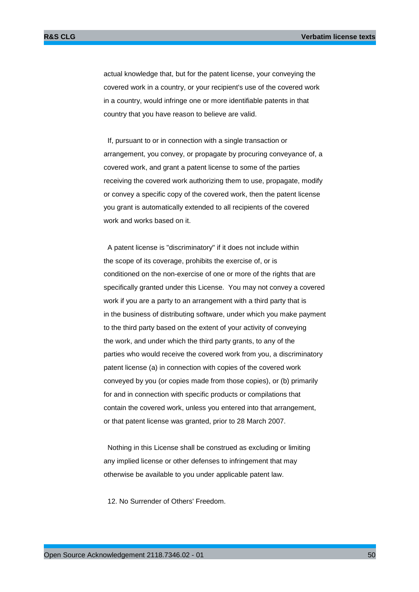actual knowledge that, but for the patent license, your conveying the covered work in a country, or your recipient's use of the covered work in a country, would infringe one or more identifiable patents in that country that you have reason to believe are valid.

 If, pursuant to or in connection with a single transaction or arrangement, you convey, or propagate by procuring conveyance of, a covered work, and grant a patent license to some of the parties receiving the covered work authorizing them to use, propagate, modify or convey a specific copy of the covered work, then the patent license you grant is automatically extended to all recipients of the covered work and works based on it.

 A patent license is "discriminatory" if it does not include within the scope of its coverage, prohibits the exercise of, or is conditioned on the non-exercise of one or more of the rights that are specifically granted under this License. You may not convey a covered work if you are a party to an arrangement with a third party that is in the business of distributing software, under which you make payment to the third party based on the extent of your activity of conveying the work, and under which the third party grants, to any of the parties who would receive the covered work from you, a discriminatory patent license (a) in connection with copies of the covered work conveyed by you (or copies made from those copies), or (b) primarily for and in connection with specific products or compilations that contain the covered work, unless you entered into that arrangement, or that patent license was granted, prior to 28 March 2007.

 Nothing in this License shall be construed as excluding or limiting any implied license or other defenses to infringement that may otherwise be available to you under applicable patent law.

12. No Surrender of Others' Freedom.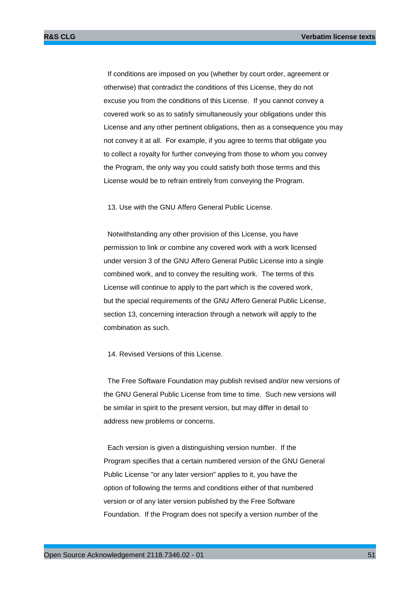If conditions are imposed on you (whether by court order, agreement or otherwise) that contradict the conditions of this License, they do not excuse you from the conditions of this License. If you cannot convey a covered work so as to satisfy simultaneously your obligations under this License and any other pertinent obligations, then as a consequence you may not convey it at all. For example, if you agree to terms that obligate you to collect a royalty for further conveying from those to whom you convey the Program, the only way you could satisfy both those terms and this License would be to refrain entirely from conveying the Program.

13. Use with the GNU Affero General Public License.

 Notwithstanding any other provision of this License, you have permission to link or combine any covered work with a work licensed under version 3 of the GNU Affero General Public License into a single combined work, and to convey the resulting work. The terms of this License will continue to apply to the part which is the covered work, but the special requirements of the GNU Affero General Public License, section 13, concerning interaction through a network will apply to the combination as such.

14. Revised Versions of this License.

 The Free Software Foundation may publish revised and/or new versions of the GNU General Public License from time to time. Such new versions will be similar in spirit to the present version, but may differ in detail to address new problems or concerns.

 Each version is given a distinguishing version number. If the Program specifies that a certain numbered version of the GNU General Public License "or any later version" applies to it, you have the option of following the terms and conditions either of that numbered version or of any later version published by the Free Software Foundation. If the Program does not specify a version number of the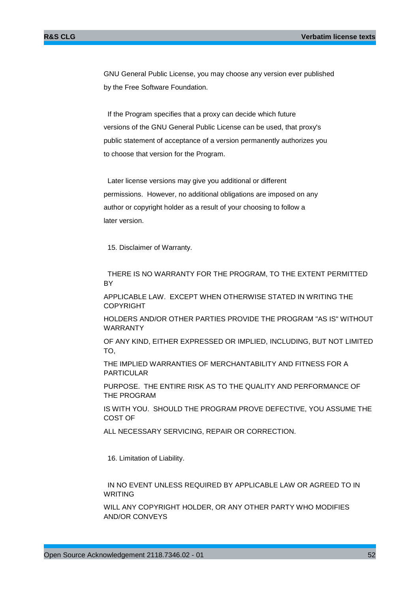GNU General Public License, you may choose any version ever published by the Free Software Foundation.

 If the Program specifies that a proxy can decide which future versions of the GNU General Public License can be used, that proxy's public statement of acceptance of a version permanently authorizes you to choose that version for the Program.

 Later license versions may give you additional or different permissions. However, no additional obligations are imposed on any author or copyright holder as a result of your choosing to follow a later version.

15. Disclaimer of Warranty.

 THERE IS NO WARRANTY FOR THE PROGRAM, TO THE EXTENT PERMITTED **BY** 

APPLICABLE LAW. EXCEPT WHEN OTHERWISE STATED IN WRITING THE COPYRIGHT

HOLDERS AND/OR OTHER PARTIES PROVIDE THE PROGRAM "AS IS" WITHOUT WARRANTY

OF ANY KIND, EITHER EXPRESSED OR IMPLIED, INCLUDING, BUT NOT LIMITED TO,

THE IMPLIED WARRANTIES OF MERCHANTABILITY AND FITNESS FOR A PARTICULAR

PURPOSE. THE ENTIRE RISK AS TO THE QUALITY AND PERFORMANCE OF THE PROGRAM

IS WITH YOU. SHOULD THE PROGRAM PROVE DEFECTIVE, YOU ASSUME THE COST OF

ALL NECESSARY SERVICING, REPAIR OR CORRECTION.

16. Limitation of Liability.

 IN NO EVENT UNLESS REQUIRED BY APPLICABLE LAW OR AGREED TO IN WRITING

WILL ANY COPYRIGHT HOLDER, OR ANY OTHER PARTY WHO MODIFIES AND/OR CONVEYS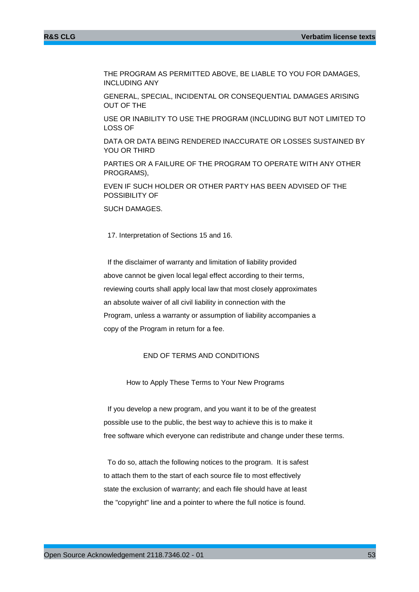THE PROGRAM AS PERMITTED ABOVE, BE LIABLE TO YOU FOR DAMAGES, INCLUDING ANY

GENERAL, SPECIAL, INCIDENTAL OR CONSEQUENTIAL DAMAGES ARISING OUT OF THE

USE OR INABILITY TO USE THE PROGRAM (INCLUDING BUT NOT LIMITED TO LOSS OF

DATA OR DATA BEING RENDERED INACCURATE OR LOSSES SUSTAINED BY YOU OR THIRD

PARTIES OR A FAILURE OF THE PROGRAM TO OPERATE WITH ANY OTHER PROGRAMS),

EVEN IF SUCH HOLDER OR OTHER PARTY HAS BEEN ADVISED OF THE POSSIBILITY OF

SUCH DAMAGES.

17. Interpretation of Sections 15 and 16.

 If the disclaimer of warranty and limitation of liability provided above cannot be given local legal effect according to their terms, reviewing courts shall apply local law that most closely approximates an absolute waiver of all civil liability in connection with the Program, unless a warranty or assumption of liability accompanies a copy of the Program in return for a fee.

### END OF TERMS AND CONDITIONS

How to Apply These Terms to Your New Programs

 If you develop a new program, and you want it to be of the greatest possible use to the public, the best way to achieve this is to make it free software which everyone can redistribute and change under these terms.

 To do so, attach the following notices to the program. It is safest to attach them to the start of each source file to most effectively state the exclusion of warranty; and each file should have at least the "copyright" line and a pointer to where the full notice is found.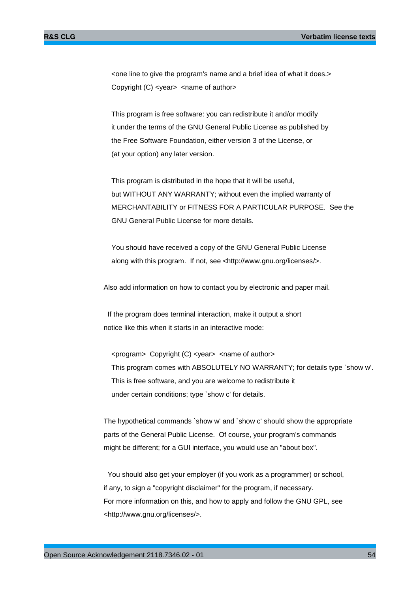<one line to give the program's name and a brief idea of what it does.> Copyright (C) <year> <name of author>

 This program is free software: you can redistribute it and/or modify it under the terms of the GNU General Public License as published by the Free Software Foundation, either version 3 of the License, or (at your option) any later version.

 This program is distributed in the hope that it will be useful, but WITHOUT ANY WARRANTY; without even the implied warranty of MERCHANTABILITY or FITNESS FOR A PARTICULAR PURPOSE. See the GNU General Public License for more details.

 You should have received a copy of the GNU General Public License along with this program. If not, see <http://www.gnu.org/licenses/>.

Also add information on how to contact you by electronic and paper mail.

 If the program does terminal interaction, make it output a short notice like this when it starts in an interactive mode:

 <program> Copyright (C) <year> <name of author> This program comes with ABSOLUTELY NO WARRANTY; for details type `show w'. This is free software, and you are welcome to redistribute it under certain conditions; type `show c' for details.

The hypothetical commands `show w' and `show c' should show the appropriate parts of the General Public License. Of course, your program's commands might be different; for a GUI interface, you would use an "about box".

 You should also get your employer (if you work as a programmer) or school, if any, to sign a "copyright disclaimer" for the program, if necessary. For more information on this, and how to apply and follow the GNU GPL, see <http://www.gnu.org/licenses/>.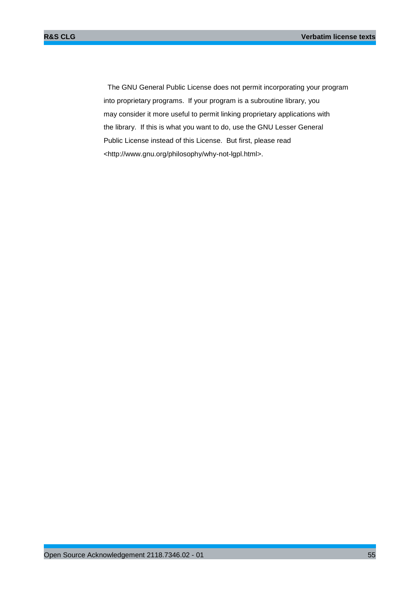The GNU General Public License does not permit incorporating your program into proprietary programs. If your program is a subroutine library, you may consider it more useful to permit linking proprietary applications with the library. If this is what you want to do, use the GNU Lesser General Public License instead of this License. But first, please read <http://www.gnu.org/philosophy/why-not-lgpl.html>.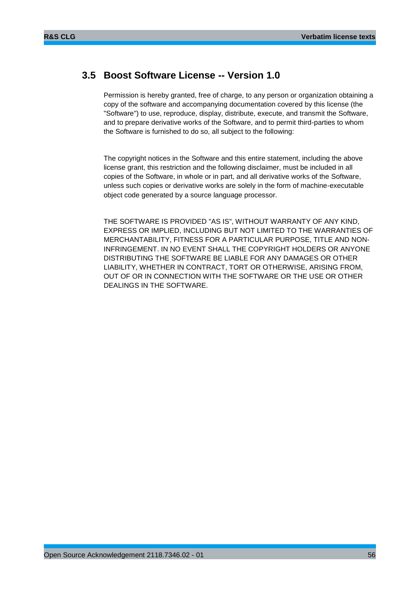## **3.5 Boost Software License -- Version 1.0**

Permission is hereby granted, free of charge, to any person or organization obtaining a copy of the software and accompanying documentation covered by this license (the "Software") to use, reproduce, display, distribute, execute, and transmit the Software, and to prepare derivative works of the Software, and to permit third-parties to whom the Software is furnished to do so, all subject to the following:

The copyright notices in the Software and this entire statement, including the above license grant, this restriction and the following disclaimer, must be included in all copies of the Software, in whole or in part, and all derivative works of the Software, unless such copies or derivative works are solely in the form of machine-executable object code generated by a source language processor.

THE SOFTWARE IS PROVIDED "AS IS", WITHOUT WARRANTY OF ANY KIND, EXPRESS OR IMPLIED, INCLUDING BUT NOT LIMITED TO THE WARRANTIES OF MERCHANTABILITY, FITNESS FOR A PARTICULAR PURPOSE, TITLE AND NON-INFRINGEMENT. IN NO EVENT SHALL THE COPYRIGHT HOLDERS OR ANYONE DISTRIBUTING THE SOFTWARE BE LIABLE FOR ANY DAMAGES OR OTHER LIABILITY, WHETHER IN CONTRACT, TORT OR OTHERWISE, ARISING FROM, OUT OF OR IN CONNECTION WITH THE SOFTWARE OR THE USE OR OTHER DEALINGS IN THE SOFTWARE.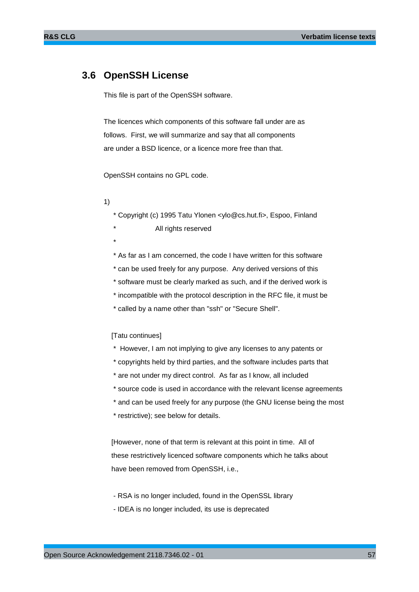## **3.6 OpenSSH License**

This file is part of the OpenSSH software.

The licences which components of this software fall under are as follows. First, we will summarize and say that all components are under a BSD licence, or a licence more free than that.

OpenSSH contains no GPL code.

- 1)
- \* Copyright (c) 1995 Tatu Ylonen <ylo@cs.hut.fi>, Espoo, Finland
	- All rights reserved
- $\ddot{\phantom{0}}$

\* As far as I am concerned, the code I have written for this software

- \* can be used freely for any purpose. Any derived versions of this
- \* software must be clearly marked as such, and if the derived work is
- \* incompatible with the protocol description in the RFC file, it must be
- \* called by a name other than "ssh" or "Secure Shell".

#### [Tatu continues]

- \* However, I am not implying to give any licenses to any patents or
- \* copyrights held by third parties, and the software includes parts that
- \* are not under my direct control. As far as I know, all included
- \* source code is used in accordance with the relevant license agreements
- \* and can be used freely for any purpose (the GNU license being the most
- \* restrictive); see below for details.

 [However, none of that term is relevant at this point in time. All of these restrictively licenced software components which he talks about have been removed from OpenSSH, i.e.,

- RSA is no longer included, found in the OpenSSL library
- IDEA is no longer included, its use is deprecated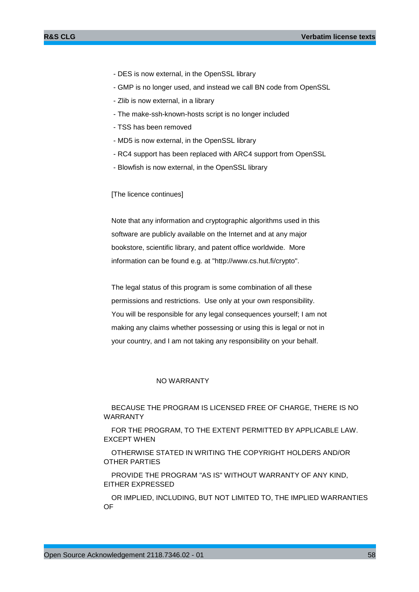- DES is now external, in the OpenSSL library
- GMP is no longer used, and instead we call BN code from OpenSSL
- Zlib is now external, in a library
- The make-ssh-known-hosts script is no longer included
- TSS has been removed
- MD5 is now external, in the OpenSSL library
- RC4 support has been replaced with ARC4 support from OpenSSL
- Blowfish is now external, in the OpenSSL library

#### [The licence continues]

 Note that any information and cryptographic algorithms used in this software are publicly available on the Internet and at any major bookstore, scientific library, and patent office worldwide. More information can be found e.g. at "http://www.cs.hut.fi/crypto".

 The legal status of this program is some combination of all these permissions and restrictions. Use only at your own responsibility. You will be responsible for any legal consequences yourself; I am not making any claims whether possessing or using this is legal or not in your country, and I am not taking any responsibility on your behalf.

#### NO WARRANTY

 BECAUSE THE PROGRAM IS LICENSED FREE OF CHARGE, THERE IS NO WARRANTY

 FOR THE PROGRAM, TO THE EXTENT PERMITTED BY APPLICABLE LAW. EXCEPT WHEN

 OTHERWISE STATED IN WRITING THE COPYRIGHT HOLDERS AND/OR OTHER PARTIES

 PROVIDE THE PROGRAM "AS IS" WITHOUT WARRANTY OF ANY KIND, EITHER EXPRESSED

 OR IMPLIED, INCLUDING, BUT NOT LIMITED TO, THE IMPLIED WARRANTIES OF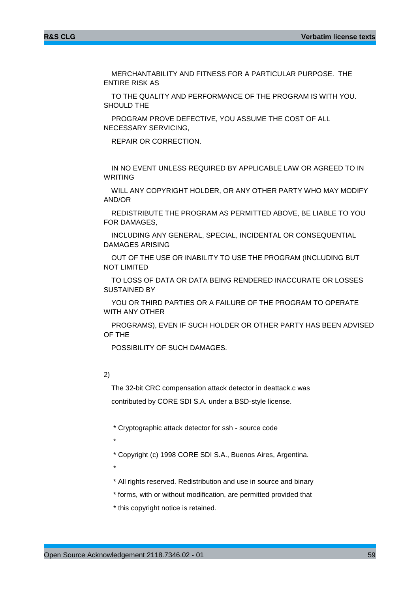MERCHANTABILITY AND FITNESS FOR A PARTICULAR PURPOSE. THE ENTIRE RISK AS

 TO THE QUALITY AND PERFORMANCE OF THE PROGRAM IS WITH YOU. SHOULD THE

 PROGRAM PROVE DEFECTIVE, YOU ASSUME THE COST OF ALL NECESSARY SERVICING,

REPAIR OR CORRECTION.

 IN NO EVENT UNLESS REQUIRED BY APPLICABLE LAW OR AGREED TO IN WRITING

 WILL ANY COPYRIGHT HOLDER, OR ANY OTHER PARTY WHO MAY MODIFY AND/OR

 REDISTRIBUTE THE PROGRAM AS PERMITTED ABOVE, BE LIABLE TO YOU FOR DAMAGES,

 INCLUDING ANY GENERAL, SPECIAL, INCIDENTAL OR CONSEQUENTIAL DAMAGES ARISING

 OUT OF THE USE OR INABILITY TO USE THE PROGRAM (INCLUDING BUT NOT LIMITED

 TO LOSS OF DATA OR DATA BEING RENDERED INACCURATE OR LOSSES SUSTAINED BY

 YOU OR THIRD PARTIES OR A FAILURE OF THE PROGRAM TO OPERATE WITH ANY OTHER

 PROGRAMS), EVEN IF SUCH HOLDER OR OTHER PARTY HAS BEEN ADVISED OF THE

POSSIBILITY OF SUCH DAMAGES.

## 2)

 The 32-bit CRC compensation attack detector in deattack.c was contributed by CORE SDI S.A. under a BSD-style license.

\* Cryptographic attack detector for ssh - source code

 $\ddot{\phantom{0}}$ 

\* Copyright (c) 1998 CORE SDI S.A., Buenos Aires, Argentina.

 $\ddot{\phantom{0}}$ 

\* All rights reserved. Redistribution and use in source and binary

\* forms, with or without modification, are permitted provided that

\* this copyright notice is retained.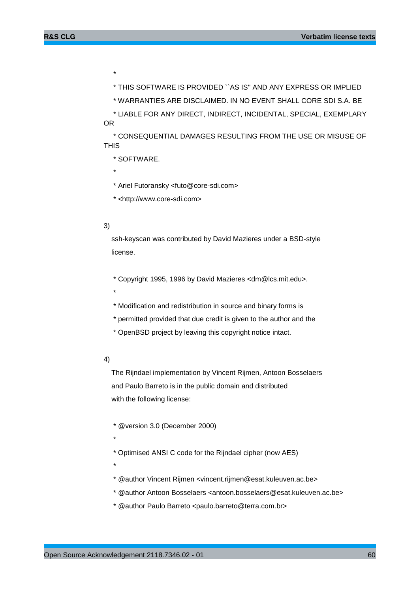\* THIS SOFTWARE IS PROVIDED ``AS IS'' AND ANY EXPRESS OR IMPLIED

\* WARRANTIES ARE DISCLAIMED. IN NO EVENT SHALL CORE SDI S.A. BE

 \* LIABLE FOR ANY DIRECT, INDIRECT, INCIDENTAL, SPECIAL, EXEMPLARY OR

 \* CONSEQUENTIAL DAMAGES RESULTING FROM THE USE OR MISUSE OF **THIS** 

\* SOFTWARE.

\* Ariel Futoransky <futo@core-sdi.com>

\* <http://www.core-sdi.com>

### 3)

 $\ddot{\phantom{0}}$ 

 $\ddot{\phantom{0}}$ 

 ssh-keyscan was contributed by David Mazieres under a BSD-style license.

\* Copyright 1995, 1996 by David Mazieres <dm@lcs.mit.edu>.

- $\ddot{\phantom{0}}$ 
	- \* Modification and redistribution in source and binary forms is
	- \* permitted provided that due credit is given to the author and the
	- \* OpenBSD project by leaving this copyright notice intact.

### 4)

 The Rijndael implementation by Vincent Rijmen, Antoon Bosselaers and Paulo Barreto is in the public domain and distributed with the following license:

\* @version 3.0 (December 2000)

- $\ddot{\phantom{0}}$ 
	- \* Optimised ANSI C code for the Rijndael cipher (now AES)
- $\ddot{\phantom{0}}$ 
	- \* @author Vincent Rijmen <vincent.rijmen@esat.kuleuven.ac.be>
	- \* @author Antoon Bosselaers <antoon.bosselaers@esat.kuleuven.ac.be>
	- \* @author Paulo Barreto <paulo.barreto@terra.com.br>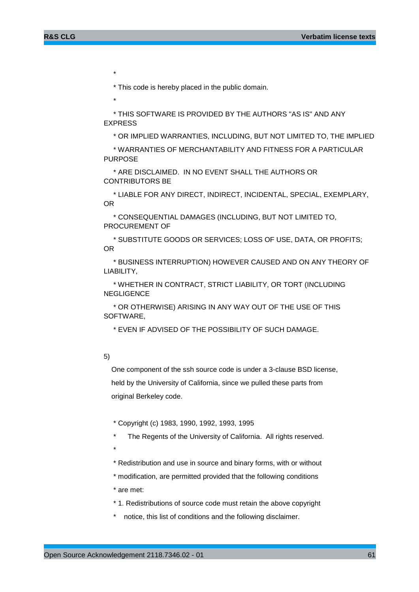\* This code is hereby placed in the public domain.

 $\ddot{\phantom{0}}$ 

 $\ddot{\phantom{0}}$ 

 \* THIS SOFTWARE IS PROVIDED BY THE AUTHORS ''AS IS'' AND ANY EXPRESS

\* OR IMPLIED WARRANTIES, INCLUDING, BUT NOT LIMITED TO, THE IMPLIED

 \* WARRANTIES OF MERCHANTABILITY AND FITNESS FOR A PARTICULAR PURPOSE

 \* ARE DISCLAIMED. IN NO EVENT SHALL THE AUTHORS OR CONTRIBUTORS BE

 \* LIABLE FOR ANY DIRECT, INDIRECT, INCIDENTAL, SPECIAL, EXEMPLARY, OR

 \* CONSEQUENTIAL DAMAGES (INCLUDING, BUT NOT LIMITED TO, PROCUREMENT OF

 \* SUBSTITUTE GOODS OR SERVICES; LOSS OF USE, DATA, OR PROFITS; OR

 \* BUSINESS INTERRUPTION) HOWEVER CAUSED AND ON ANY THEORY OF LIABILITY,

 \* WHETHER IN CONTRACT, STRICT LIABILITY, OR TORT (INCLUDING **NEGLIGENCE** 

 \* OR OTHERWISE) ARISING IN ANY WAY OUT OF THE USE OF THIS SOFTWARE,

\* EVEN IF ADVISED OF THE POSSIBILITY OF SUCH DAMAGE.

#### 5)

 One component of the ssh source code is under a 3-clause BSD license, held by the University of California, since we pulled these parts from original Berkeley code.

\* Copyright (c) 1983, 1990, 1992, 1993, 1995

The Regents of the University of California. All rights reserved.

- $\ddot{\phantom{0}}$ 
	- \* Redistribution and use in source and binary forms, with or without
	- \* modification, are permitted provided that the following conditions

\* are met:

\* 1. Redistributions of source code must retain the above copyright

\* notice, this list of conditions and the following disclaimer.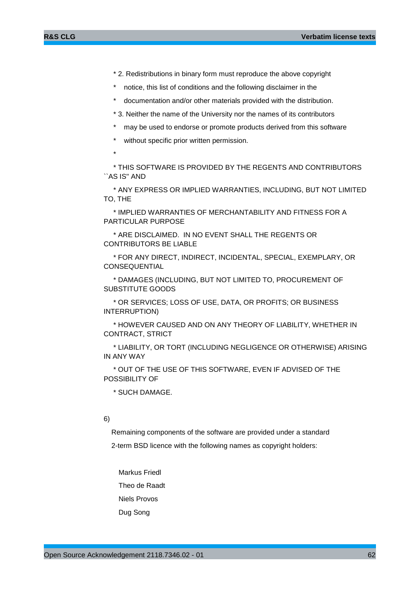\* 2. Redistributions in binary form must reproduce the above copyright

- notice, this list of conditions and the following disclaimer in the
- documentation and/or other materials provided with the distribution.
- \* 3. Neither the name of the University nor the names of its contributors
- may be used to endorse or promote products derived from this software
- without specific prior written permission.
- $\ddot{\phantom{0}}$

 \* THIS SOFTWARE IS PROVIDED BY THE REGENTS AND CONTRIBUTORS ``AS IS'' AND

 \* ANY EXPRESS OR IMPLIED WARRANTIES, INCLUDING, BUT NOT LIMITED TO, THE

 \* IMPLIED WARRANTIES OF MERCHANTABILITY AND FITNESS FOR A PARTICULAR PURPOSE

 \* ARE DISCLAIMED. IN NO EVENT SHALL THE REGENTS OR CONTRIBUTORS BE LIABLE

 \* FOR ANY DIRECT, INDIRECT, INCIDENTAL, SPECIAL, EXEMPLARY, OR **CONSEQUENTIAL** 

 \* DAMAGES (INCLUDING, BUT NOT LIMITED TO, PROCUREMENT OF SUBSTITUTE GOODS

 \* OR SERVICES; LOSS OF USE, DATA, OR PROFITS; OR BUSINESS INTERRUPTION)

 \* HOWEVER CAUSED AND ON ANY THEORY OF LIABILITY, WHETHER IN CONTRACT, STRICT

 \* LIABILITY, OR TORT (INCLUDING NEGLIGENCE OR OTHERWISE) ARISING IN ANY WAY

 \* OUT OF THE USE OF THIS SOFTWARE, EVEN IF ADVISED OF THE POSSIBILITY OF

\* SUCH DAMAGE.

## 6)

Remaining components of the software are provided under a standard

2-term BSD licence with the following names as copyright holders:

Markus Friedl Theo de Raadt Niels Provos Dug Song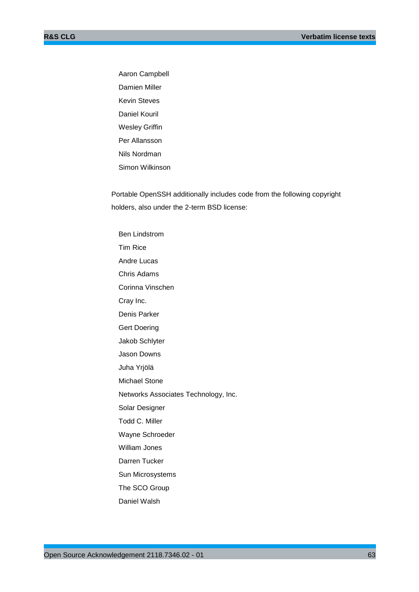Aaron Campbell Damien Miller Kevin Steves Daniel Kouril Wesley Griffin Per Allansson Nils Nordman Simon Wilkinson

 Portable OpenSSH additionally includes code from the following copyright holders, also under the 2-term BSD license:

Ben Lindstrom Tim Rice Andre Lucas Chris Adams Corinna Vinschen Cray Inc. Denis Parker Gert Doering Jakob Schlyter Jason Downs Juha Yrjölä Michael Stone Networks Associates Technology, Inc. Solar Designer Todd C. Miller Wayne Schroeder William Jones Darren Tucker Sun Microsystems The SCO Group Daniel Walsh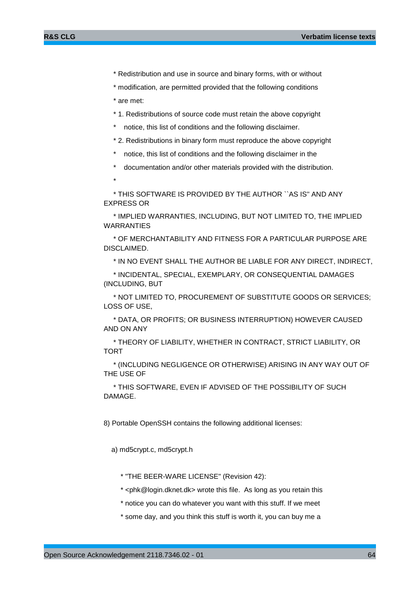- \* Redistribution and use in source and binary forms, with or without
- \* modification, are permitted provided that the following conditions
- \* are met:

 $\ddot{\phantom{0}}$ 

- \* 1. Redistributions of source code must retain the above copyright
- \* notice, this list of conditions and the following disclaimer.
- \* 2. Redistributions in binary form must reproduce the above copyright
- notice, this list of conditions and the following disclaimer in the
- documentation and/or other materials provided with the distribution.
- \* THIS SOFTWARE IS PROVIDED BY THE AUTHOR ``AS IS'' AND ANY EXPRESS OR

 \* IMPLIED WARRANTIES, INCLUDING, BUT NOT LIMITED TO, THE IMPLIED WARRANTIES

 \* OF MERCHANTABILITY AND FITNESS FOR A PARTICULAR PURPOSE ARE DISCLAIMED.

\* IN NO EVENT SHALL THE AUTHOR BE LIABLE FOR ANY DIRECT, INDIRECT,

 \* INCIDENTAL, SPECIAL, EXEMPLARY, OR CONSEQUENTIAL DAMAGES (INCLUDING, BUT

 \* NOT LIMITED TO, PROCUREMENT OF SUBSTITUTE GOODS OR SERVICES; LOSS OF USE,

 \* DATA, OR PROFITS; OR BUSINESS INTERRUPTION) HOWEVER CAUSED AND ON ANY

 \* THEORY OF LIABILITY, WHETHER IN CONTRACT, STRICT LIABILITY, OR TORT

 \* (INCLUDING NEGLIGENCE OR OTHERWISE) ARISING IN ANY WAY OUT OF THE USE OF

 \* THIS SOFTWARE, EVEN IF ADVISED OF THE POSSIBILITY OF SUCH DAMAGE.

8) Portable OpenSSH contains the following additional licenses:

a) md5crypt.c, md5crypt.h

\* "THE BEER-WARE LICENSE" (Revision 42):

- \* <phk@login.dknet.dk> wrote this file. As long as you retain this
- \* notice you can do whatever you want with this stuff. If we meet
- \* some day, and you think this stuff is worth it, you can buy me a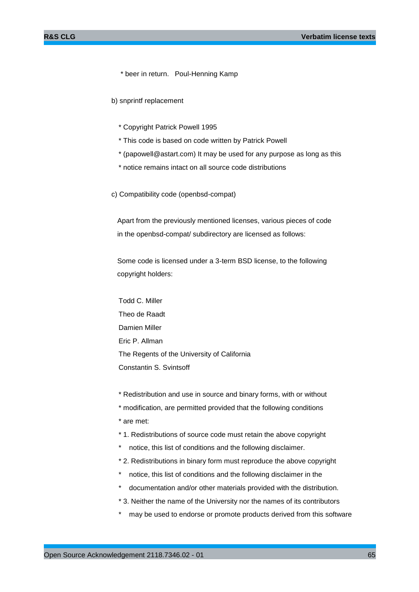\* beer in return. Poul-Henning Kamp

b) snprintf replacement

- \* Copyright Patrick Powell 1995
- \* This code is based on code written by Patrick Powell
- \* (papowell@astart.com) It may be used for any purpose as long as this
- \* notice remains intact on all source code distributions

c) Compatibility code (openbsd-compat)

 Apart from the previously mentioned licenses, various pieces of code in the openbsd-compat/ subdirectory are licensed as follows:

 Some code is licensed under a 3-term BSD license, to the following copyright holders:

Todd C. Miller Theo de Raadt Damien Miller Eric P. Allman The Regents of the University of California Constantin S. Svintsoff

- \* Redistribution and use in source and binary forms, with or without
- \* modification, are permitted provided that the following conditions
- \* are met:
- \* 1. Redistributions of source code must retain the above copyright
- \* notice, this list of conditions and the following disclaimer.
- \* 2. Redistributions in binary form must reproduce the above copyright
- notice, this list of conditions and the following disclaimer in the
- \* documentation and/or other materials provided with the distribution.
- \* 3. Neither the name of the University nor the names of its contributors
- \* may be used to endorse or promote products derived from this software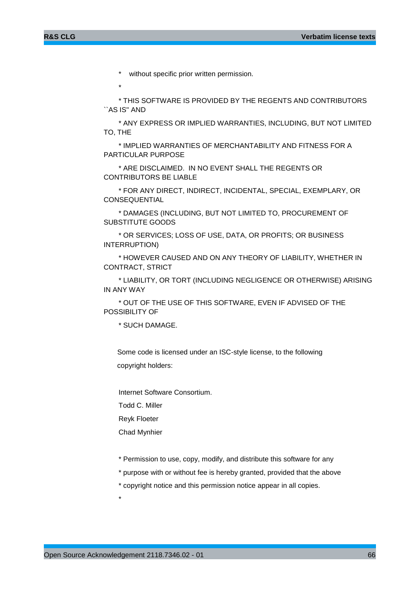\* without specific prior written permission.

\*

\* THIS SOFTWARE IS PROVIDED BY THE REGENTS AND CONTRIBUTORS ``AS IS'' AND

\* ANY EXPRESS OR IMPLIED WARRANTIES, INCLUDING, BUT NOT LIMITED TO, THE

\* IMPLIED WARRANTIES OF MERCHANTABILITY AND FITNESS FOR A PARTICULAR PURPOSE

\* ARE DISCLAIMED. IN NO EVENT SHALL THE REGENTS OR CONTRIBUTORS BE LIABLE

\* FOR ANY DIRECT, INDIRECT, INCIDENTAL, SPECIAL, EXEMPLARY, OR **CONSEQUENTIAL** 

\* DAMAGES (INCLUDING, BUT NOT LIMITED TO, PROCUREMENT OF SUBSTITUTE GOODS

\* OR SERVICES; LOSS OF USE, DATA, OR PROFITS; OR BUSINESS INTERRUPTION)

\* HOWEVER CAUSED AND ON ANY THEORY OF LIABILITY, WHETHER IN CONTRACT, STRICT

\* LIABILITY, OR TORT (INCLUDING NEGLIGENCE OR OTHERWISE) ARISING IN ANY WAY

\* OUT OF THE USE OF THIS SOFTWARE, EVEN IF ADVISED OF THE POSSIBILITY OF

\* SUCH DAMAGE.

 Some code is licensed under an ISC-style license, to the following copyright holders:

Internet Software Consortium.

Todd C. Miller

Reyk Floeter

Chad Mynhier

\* Permission to use, copy, modify, and distribute this software for any

\* purpose with or without fee is hereby granted, provided that the above

\* copyright notice and this permission notice appear in all copies.

\*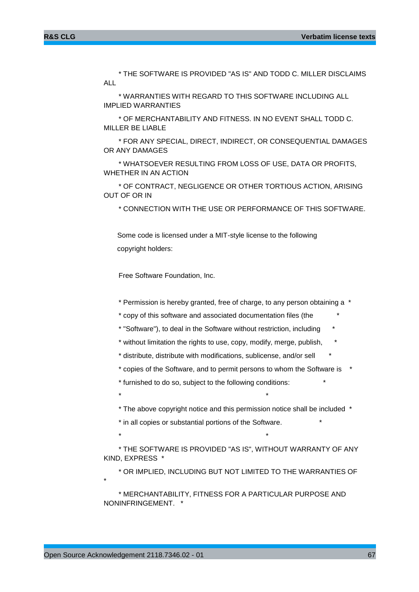\* THE SOFTWARE IS PROVIDED "AS IS" AND TODD C. MILLER DISCLAIMS ALL

\* WARRANTIES WITH REGARD TO THIS SOFTWARE INCLUDING ALL IMPLIED WARRANTIES

\* OF MERCHANTABILITY AND FITNESS. IN NO EVENT SHALL TODD C. MILLER BE LIABLE

\* FOR ANY SPECIAL, DIRECT, INDIRECT, OR CONSEQUENTIAL DAMAGES OR ANY DAMAGES

\* WHATSOEVER RESULTING FROM LOSS OF USE, DATA OR PROFITS, WHETHER IN AN ACTION

\* OF CONTRACT, NEGLIGENCE OR OTHER TORTIOUS ACTION, ARISING OUT OF OR IN

\* CONNECTION WITH THE USE OR PERFORMANCE OF THIS SOFTWARE.

 Some code is licensed under a MIT-style license to the following copyright holders:

Free Software Foundation, Inc.

\* Permission is hereby granted, free of charge, to any person obtaining a \*

\* copy of this software and associated documentation files (the \*

\* "Software"), to deal in the Software without restriction, including \*

\* without limitation the rights to use, copy, modify, merge, publish, \*

\* distribute, distribute with modifications, sublicense, and/or sell \*

\* copies of the Software, and to permit persons to whom the Software is \*

\* furnished to do so, subject to the following conditions: \*

 $\star$  \*  $\star$ 

\* The above copyright notice and this permission notice shall be included \*

\* in all copies or substantial portions of the Software. \*

 $\star$  \*  $\star$ 

\* THE SOFTWARE IS PROVIDED "AS IS", WITHOUT WARRANTY OF ANY KIND, EXPRESS \*

\* OR IMPLIED, INCLUDING BUT NOT LIMITED TO THE WARRANTIES OF

\* MERCHANTABILITY, FITNESS FOR A PARTICULAR PURPOSE AND NONINFRINGEMENT. \*

\*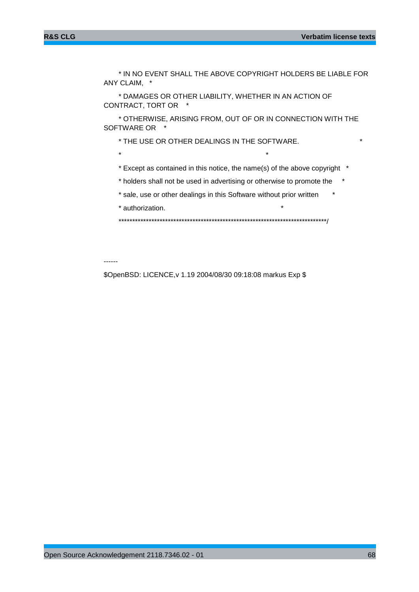\* IN NO EVENT SHALL THE ABOVE COPYRIGHT HOLDERS BE LIABLE FOR ANY CLAIM, \*

\* DAMAGES OR OTHER LIABILITY, WHETHER IN AN ACTION OF CONTRACT, TORT OR \*

\* OTHERWISE, ARISING FROM, OUT OF OR IN CONNECTION WITH THE SOFTWARE OR \*

\* THE USE OR OTHER DEALINGS IN THE SOFTWARE. \*

 $\star$  \*  $\star$ 

\* Except as contained in this notice, the name(s) of the above copyright \*

\* holders shall not be used in advertising or otherwise to promote the \*

\* sale, use or other dealings in this Software without prior written \*

\* authorization.

\*\*\*\*\*\*\*\*\*\*\*\*\*\*\*\*\*\*\*\*\*\*\*\*\*\*\*\*\*\*\*\*\*\*\*\*\*\*\*\*\*\*\*\*\*\*\*\*\*\*\*\*\*\*\*\*\*\*\*\*\*\*\*\*\*\*\*\*\*\*\*\*\*\*\*\*/

------

\$OpenBSD: LICENCE,v 1.19 2004/08/30 09:18:08 markus Exp \$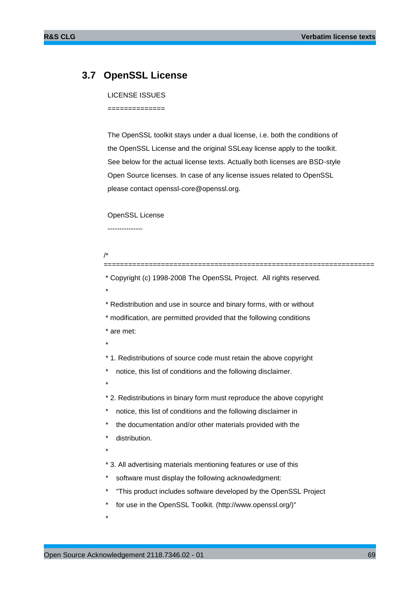# **3.7 OpenSSL License**

LICENSE ISSUES

==============

 The OpenSSL toolkit stays under a dual license, i.e. both the conditions of the OpenSSL License and the original SSLeay license apply to the toolkit. See below for the actual license texts. Actually both licenses are BSD-style Open Source licenses. In case of any license issues related to OpenSSL please contact openssl-core@openssl.org.

OpenSSL License

---------------

/\*

\*

\* Copyright (c) 1998-2008 The OpenSSL Project. All rights reserved.

==================================================================

\* Redistribution and use in source and binary forms, with or without

\* modification, are permitted provided that the following conditions

\* are met:

\*

\* 1. Redistributions of source code must retain the above copyright

- notice, this list of conditions and the following disclaimer.
- \*

\* 2. Redistributions in binary form must reproduce the above copyright

- notice, this list of conditions and the following disclaimer in
- the documentation and/or other materials provided with the
- distribution.
- \*

\* 3. All advertising materials mentioning features or use of this

- \* software must display the following acknowledgment:
- "This product includes software developed by the OpenSSL Project
- for use in the OpenSSL Toolkit. (http://www.openssl.org/)"
- \*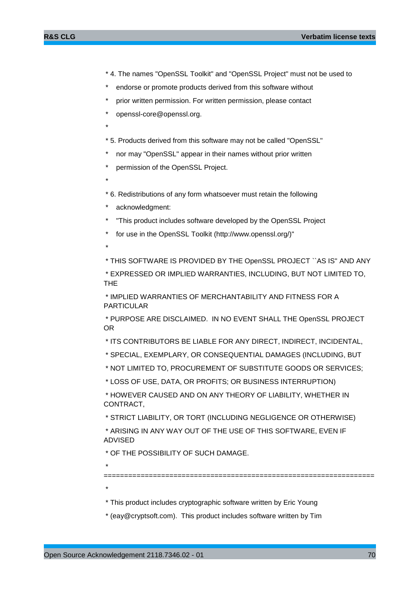- \* 4. The names "OpenSSL Toolkit" and "OpenSSL Project" must not be used to
- endorse or promote products derived from this software without
- prior written permission. For written permission, please contact
- openssl-core@openssl.org.
- \*
- \* 5. Products derived from this software may not be called "OpenSSL"
- nor may "OpenSSL" appear in their names without prior written
- permission of the OpenSSL Project.
- \*
- \* 6. Redistributions of any form whatsoever must retain the following
- acknowledgment:
- "This product includes software developed by the OpenSSL Project
- for use in the OpenSSL Toolkit (http://www.openssl.org/)"
- \*

\* THIS SOFTWARE IS PROVIDED BY THE OpenSSL PROJECT ``AS IS'' AND ANY

\* EXPRESSED OR IMPLIED WARRANTIES, INCLUDING, BUT NOT LIMITED TO, THE

\* IMPLIED WARRANTIES OF MERCHANTABILITY AND FITNESS FOR A PARTICULAR

\* PURPOSE ARE DISCLAIMED. IN NO EVENT SHALL THE OpenSSL PROJECT OR

- \* ITS CONTRIBUTORS BE LIABLE FOR ANY DIRECT, INDIRECT, INCIDENTAL,
- \* SPECIAL, EXEMPLARY, OR CONSEQUENTIAL DAMAGES (INCLUDING, BUT
- \* NOT LIMITED TO, PROCUREMENT OF SUBSTITUTE GOODS OR SERVICES;
- \* LOSS OF USE, DATA, OR PROFITS; OR BUSINESS INTERRUPTION)

\* HOWEVER CAUSED AND ON ANY THEORY OF LIABILITY, WHETHER IN CONTRACT,

\* STRICT LIABILITY, OR TORT (INCLUDING NEGLIGENCE OR OTHERWISE)

==================================================================

\* ARISING IN ANY WAY OUT OF THE USE OF THIS SOFTWARE, EVEN IF ADVISED

\* OF THE POSSIBILITY OF SUCH DAMAGE.

\* This product includes cryptographic software written by Eric Young

\* (eay@cryptsoft.com). This product includes software written by Tim

 $\mathbf{r}$ 

\*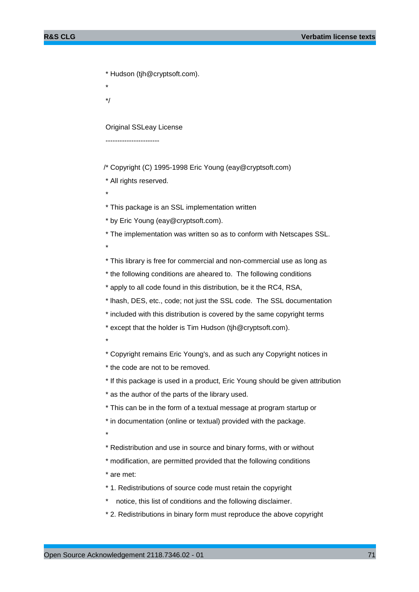\* Hudson (tjh@cryptsoft.com). \* \*/

Original SSLeay License

-----------------------

/\* Copyright (C) 1995-1998 Eric Young (eay@cryptsoft.com)

\* All rights reserved.

\*

\*

\*

\* This package is an SSL implementation written

\* by Eric Young (eay@cryptsoft.com).

\* The implementation was written so as to conform with Netscapes SSL.

\* This library is free for commercial and non-commercial use as long as

\* the following conditions are aheared to. The following conditions

\* apply to all code found in this distribution, be it the RC4, RSA,

\* lhash, DES, etc., code; not just the SSL code. The SSL documentation

\* included with this distribution is covered by the same copyright terms

\* except that the holder is Tim Hudson (tjh@cryptsoft.com).

\* Copyright remains Eric Young's, and as such any Copyright notices in

\* the code are not to be removed.

\* If this package is used in a product, Eric Young should be given attribution

\* as the author of the parts of the library used.

\* This can be in the form of a textual message at program startup or

\* in documentation (online or textual) provided with the package.

\*

- \* Redistribution and use in source and binary forms, with or without
- \* modification, are permitted provided that the following conditions

\* are met:

\* 1. Redistributions of source code must retain the copyright

notice, this list of conditions and the following disclaimer.

\* 2. Redistributions in binary form must reproduce the above copyright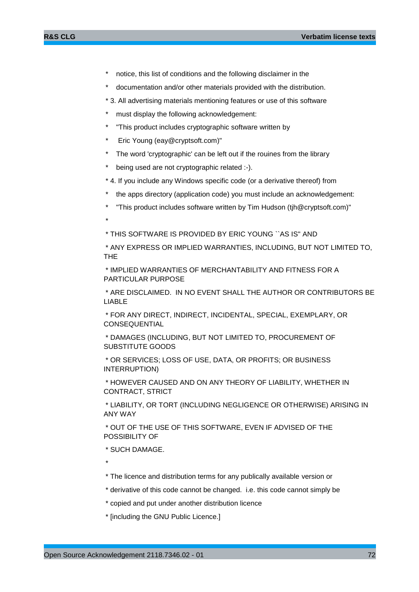- notice, this list of conditions and the following disclaimer in the
- documentation and/or other materials provided with the distribution.
- \* 3. All advertising materials mentioning features or use of this software
- must display the following acknowledgement:
- "This product includes cryptographic software written by
- \* Eric Young (eay@cryptsoft.com)"
- The word 'cryptographic' can be left out if the rouines from the library
- being used are not cryptographic related :-).
- \* 4. If you include any Windows specific code (or a derivative thereof) from
- the apps directory (application code) you must include an acknowledgement:
- "This product includes software written by Tim Hudson (tjh@cryptsoft.com)"
- \*

\* THIS SOFTWARE IS PROVIDED BY ERIC YOUNG ``AS IS'' AND

\* ANY EXPRESS OR IMPLIED WARRANTIES, INCLUDING, BUT NOT LIMITED TO, THE

\* IMPLIED WARRANTIES OF MERCHANTABILITY AND FITNESS FOR A PARTICULAR PURPOSE

\* ARE DISCLAIMED. IN NO EVENT SHALL THE AUTHOR OR CONTRIBUTORS BE LIABLE

\* FOR ANY DIRECT, INDIRECT, INCIDENTAL, SPECIAL, EXEMPLARY, OR **CONSEQUENTIAL** 

\* DAMAGES (INCLUDING, BUT NOT LIMITED TO, PROCUREMENT OF SUBSTITUTE GOODS

\* OR SERVICES; LOSS OF USE, DATA, OR PROFITS; OR BUSINESS INTERRUPTION)

\* HOWEVER CAUSED AND ON ANY THEORY OF LIABILITY, WHETHER IN CONTRACT, STRICT

\* LIABILITY, OR TORT (INCLUDING NEGLIGENCE OR OTHERWISE) ARISING IN ANY WAY

\* OUT OF THE USE OF THIS SOFTWARE, EVEN IF ADVISED OF THE POSSIBILITY OF

\* SUCH DAMAGE.

\*

\* The licence and distribution terms for any publically available version or

\* derivative of this code cannot be changed. i.e. this code cannot simply be

\* copied and put under another distribution licence

\* [including the GNU Public Licence.]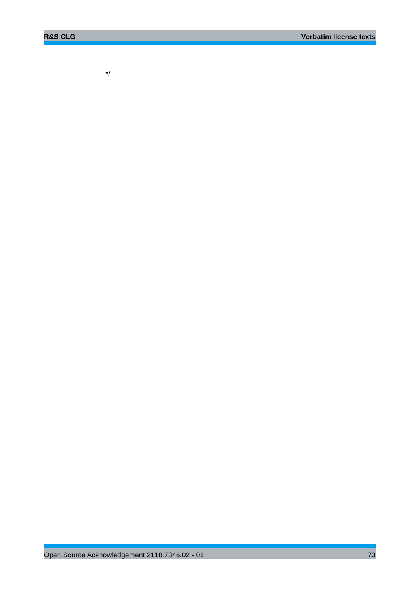\*/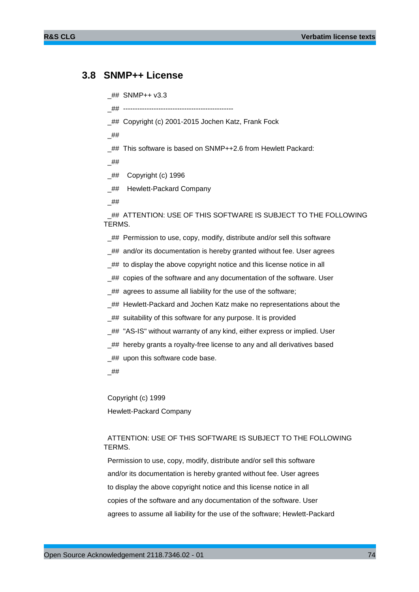# **3.8 SNMP++ License**

\_## SNMP++ v3.3

- \_## -----------------------------------------------
- \_## Copyright (c) 2001-2015 Jochen Katz, Frank Fock
- \_##

\_## This software is based on SNMP++2.6 from Hewlett Packard:

\_##

- $\#$ # Copyright (c) 1996
- ## Hewlett-Packard Company
- \_##

 \_## ATTENTION: USE OF THIS SOFTWARE IS SUBJECT TO THE FOLLOWING TERMS.

- \_## Permission to use, copy, modify, distribute and/or sell this software
- \_## and/or its documentation is hereby granted without fee. User agrees
- ## to display the above copyright notice and this license notice in all
- \_## copies of the software and any documentation of the software. User
- \_## agrees to assume all liability for the use of the software;
- \_## Hewlett-Packard and Jochen Katz make no representations about the
- \_## suitability of this software for any purpose. It is provided
- \_## "AS-IS" without warranty of any kind, either express or implied. User
- \_## hereby grants a royalty-free license to any and all derivatives based
- ## upon this software code base.
- \_##

 Copyright (c) 1999 Hewlett-Packard Company

# ATTENTION: USE OF THIS SOFTWARE IS SUBJECT TO THE FOLLOWING TERMS.

 Permission to use, copy, modify, distribute and/or sell this software and/or its documentation is hereby granted without fee. User agrees to display the above copyright notice and this license notice in all copies of the software and any documentation of the software. User agrees to assume all liability for the use of the software; Hewlett-Packard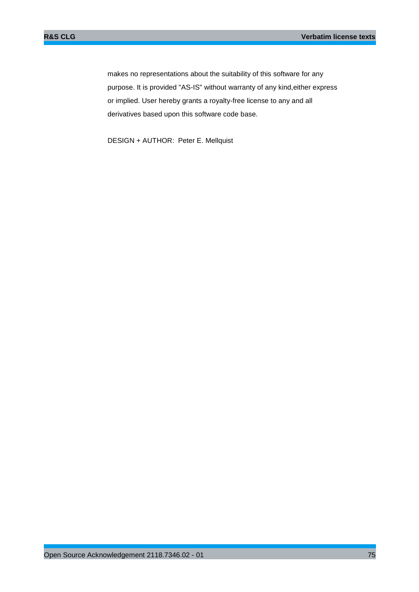makes no representations about the suitability of this software for any purpose. It is provided "AS-IS" without warranty of any kind,either express or implied. User hereby grants a royalty-free license to any and all derivatives based upon this software code base.

DESIGN + AUTHOR: Peter E. Mellquist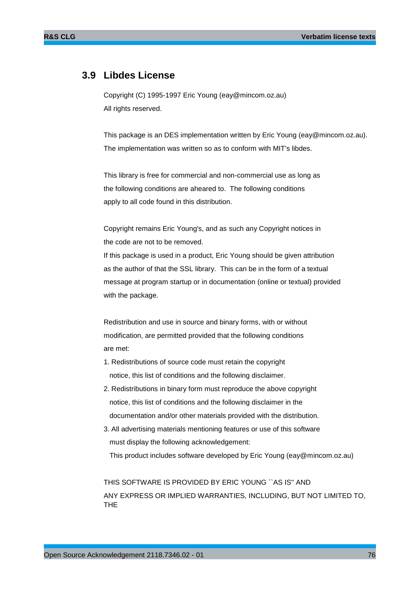# **3.9 Libdes License**

Copyright (C) 1995-1997 Eric Young (eay@mincom.oz.au) All rights reserved.

This package is an DES implementation written by Eric Young (eay@mincom.oz.au). The implementation was written so as to conform with MIT's libdes.

This library is free for commercial and non-commercial use as long as the following conditions are aheared to. The following conditions apply to all code found in this distribution.

Copyright remains Eric Young's, and as such any Copyright notices in the code are not to be removed.

If this package is used in a product, Eric Young should be given attribution as the author of that the SSL library. This can be in the form of a textual message at program startup or in documentation (online or textual) provided with the package.

Redistribution and use in source and binary forms, with or without modification, are permitted provided that the following conditions are met:

- 1. Redistributions of source code must retain the copyright notice, this list of conditions and the following disclaimer.
- 2. Redistributions in binary form must reproduce the above copyright notice, this list of conditions and the following disclaimer in the documentation and/or other materials provided with the distribution.
- 3. All advertising materials mentioning features or use of this software must display the following acknowledgement:

This product includes software developed by Eric Young (eay@mincom.oz.au)

THIS SOFTWARE IS PROVIDED BY ERIC YOUNG ``AS IS'' AND ANY EXPRESS OR IMPLIED WARRANTIES, INCLUDING, BUT NOT LIMITED TO, THE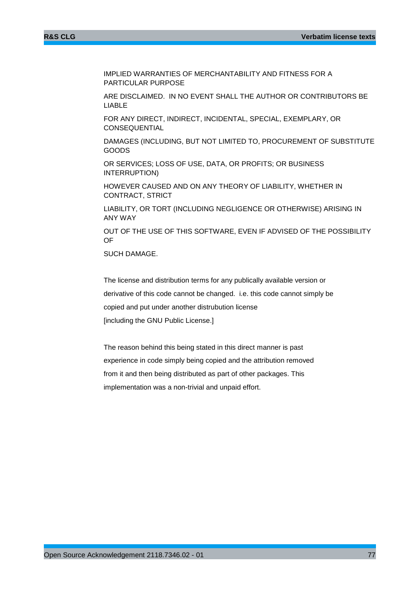IMPLIED WARRANTIES OF MERCHANTABILITY AND FITNESS FOR A PARTICULAR PURPOSE

ARE DISCLAIMED. IN NO EVENT SHALL THE AUTHOR OR CONTRIBUTORS BE LIABLE

FOR ANY DIRECT, INDIRECT, INCIDENTAL, SPECIAL, EXEMPLARY, OR **CONSEQUENTIAL** 

DAMAGES (INCLUDING, BUT NOT LIMITED TO, PROCUREMENT OF SUBSTITUTE GOODS

OR SERVICES; LOSS OF USE, DATA, OR PROFITS; OR BUSINESS INTERRUPTION)

HOWEVER CAUSED AND ON ANY THEORY OF LIABILITY, WHETHER IN CONTRACT, STRICT

LIABILITY, OR TORT (INCLUDING NEGLIGENCE OR OTHERWISE) ARISING IN ANY WAY

OUT OF THE USE OF THIS SOFTWARE, EVEN IF ADVISED OF THE POSSIBILITY OF

SUCH DAMAGE.

The license and distribution terms for any publically available version or derivative of this code cannot be changed. i.e. this code cannot simply be copied and put under another distrubution license [including the GNU Public License.]

The reason behind this being stated in this direct manner is past experience in code simply being copied and the attribution removed from it and then being distributed as part of other packages. This implementation was a non-trivial and unpaid effort.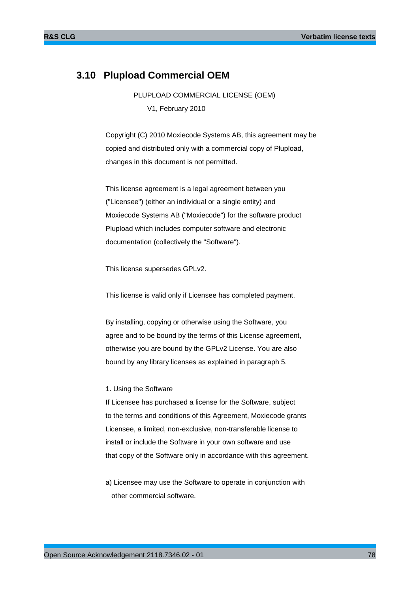# **3.10 Plupload Commercial OEM**

PLUPLOAD COMMERCIAL LICENSE (OEM) V1, February 2010

Copyright (C) 2010 Moxiecode Systems AB, this agreement may be copied and distributed only with a commercial copy of Plupload, changes in this document is not permitted.

This license agreement is a legal agreement between you ("Licensee") (either an individual or a single entity) and Moxiecode Systems AB ("Moxiecode") for the software product Plupload which includes computer software and electronic documentation (collectively the "Software").

This license supersedes GPLv2.

This license is valid only if Licensee has completed payment.

By installing, copying or otherwise using the Software, you agree and to be bound by the terms of this License agreement, otherwise you are bound by the GPLv2 License. You are also bound by any library licenses as explained in paragraph 5.

### 1. Using the Software

If Licensee has purchased a license for the Software, subject to the terms and conditions of this Agreement, Moxiecode grants Licensee, a limited, non-exclusive, non-transferable license to install or include the Software in your own software and use that copy of the Software only in accordance with this agreement.

a) Licensee may use the Software to operate in conjunction with other commercial software.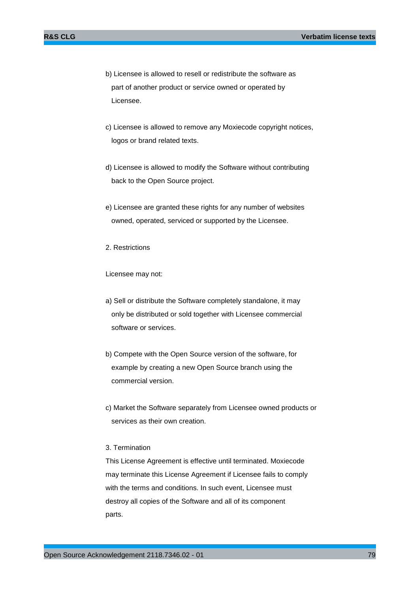- b) Licensee is allowed to resell or redistribute the software as part of another product or service owned or operated by Licensee.
- c) Licensee is allowed to remove any Moxiecode copyright notices, logos or brand related texts.
- d) Licensee is allowed to modify the Software without contributing back to the Open Source project.
- e) Licensee are granted these rights for any number of websites owned, operated, serviced or supported by the Licensee.
- 2. Restrictions

Licensee may not:

- a) Sell or distribute the Software completely standalone, it may only be distributed or sold together with Licensee commercial software or services.
- b) Compete with the Open Source version of the software, for example by creating a new Open Source branch using the commercial version.
- c) Market the Software separately from Licensee owned products or services as their own creation.

#### 3. Termination

This License Agreement is effective until terminated. Moxiecode may terminate this License Agreement if Licensee fails to comply with the terms and conditions. In such event, Licensee must destroy all copies of the Software and all of its component parts.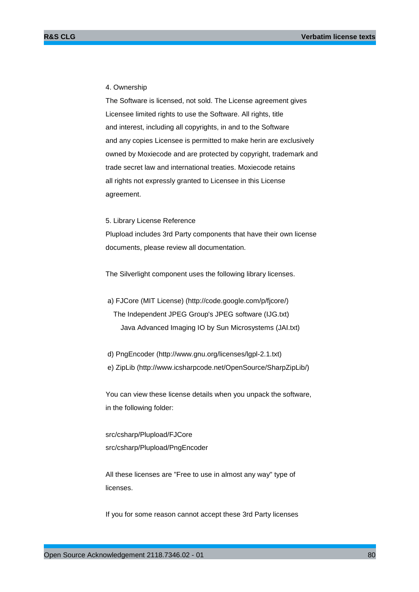#### 4. Ownership

The Software is licensed, not sold. The License agreement gives Licensee limited rights to use the Software. All rights, title and interest, including all copyrights, in and to the Software and any copies Licensee is permitted to make herin are exclusively owned by Moxiecode and are protected by copyright, trademark and trade secret law and international treaties. Moxiecode retains all rights not expressly granted to Licensee in this License agreement.

5. Library License Reference

Plupload includes 3rd Party components that have their own license documents, please review all documentation.

The Silverlight component uses the following library licenses.

- a) FJCore (MIT License) (http://code.google.com/p/fjcore/) The Independent JPEG Group's JPEG software (IJG.txt) Java Advanced Imaging IO by Sun Microsystems (JAI.txt)
- d) PngEncoder (http://www.gnu.org/licenses/lgpl-2.1.txt)
- e) ZipLib (http://www.icsharpcode.net/OpenSource/SharpZipLib/)

You can view these license details when you unpack the software, in the following folder:

src/csharp/Plupload/FJCore src/csharp/Plupload/PngEncoder

All these licenses are "Free to use in almost any way" type of licenses.

If you for some reason cannot accept these 3rd Party licenses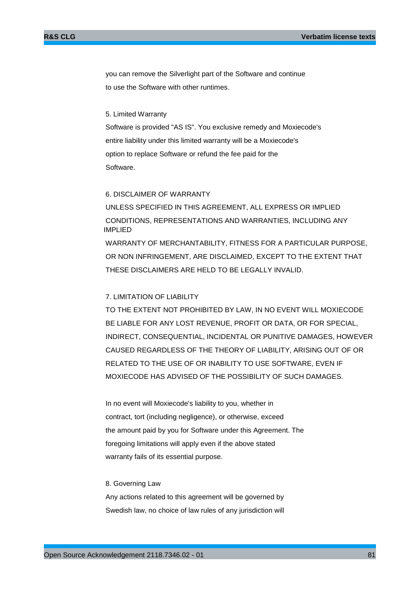you can remove the Silverlight part of the Software and continue to use the Software with other runtimes.

## 5. Limited Warranty

Software is provided "AS IS". You exclusive remedy and Moxiecode's entire liability under this limited warranty will be a Moxiecode's option to replace Software or refund the fee paid for the Software.

## 6. DISCLAIMER OF WARRANTY

UNLESS SPECIFIED IN THIS AGREEMENT, ALL EXPRESS OR IMPLIED CONDITIONS, REPRESENTATIONS AND WARRANTIES, INCLUDING ANY IMPLIED

WARRANTY OF MERCHANTABILITY, FITNESS FOR A PARTICULAR PURPOSE, OR NON INFRINGEMENT, ARE DISCLAIMED, EXCEPT TO THE EXTENT THAT THESE DISCLAIMERS ARE HELD TO BE LEGALLY INVALID.

## 7. LIMITATION OF LIABILITY

TO THE EXTENT NOT PROHIBITED BY LAW, IN NO EVENT WILL MOXIECODE BE LIABLE FOR ANY LOST REVENUE, PROFIT OR DATA, OR FOR SPECIAL, INDIRECT, CONSEQUENTIAL, INCIDENTAL OR PUNITIVE DAMAGES, HOWEVER CAUSED REGARDLESS OF THE THEORY OF LIABILITY, ARISING OUT OF OR RELATED TO THE USE OF OR INABILITY TO USE SOFTWARE, EVEN IF MOXIECODE HAS ADVISED OF THE POSSIBILITY OF SUCH DAMAGES.

In no event will Moxiecode's liability to you, whether in contract, tort (including negligence), or otherwise, exceed the amount paid by you for Software under this Agreement. The foregoing limitations will apply even if the above stated warranty fails of its essential purpose.

#### 8. Governing Law

Any actions related to this agreement will be governed by Swedish law, no choice of law rules of any jurisdiction will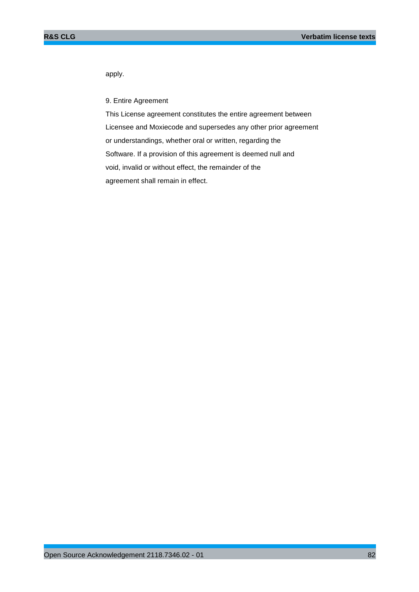apply.

9. Entire Agreement

This License agreement constitutes the entire agreement between Licensee and Moxiecode and supersedes any other prior agreement or understandings, whether oral or written, regarding the Software. If a provision of this agreement is deemed null and void, invalid or without effect, the remainder of the agreement shall remain in effect.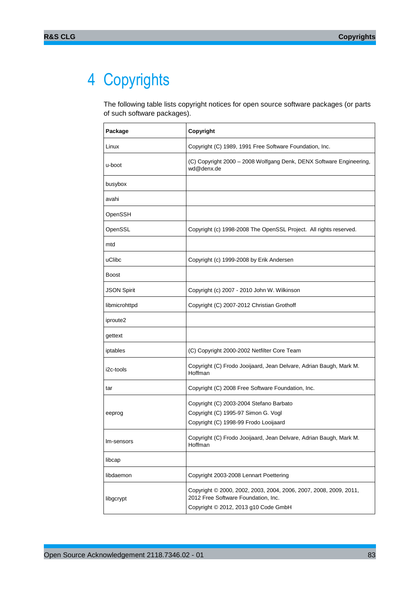# 4 Copyrights

The following table lists copyright notices for open source software packages (or parts of such software packages).

| Package            | Copyright                                                                                                                                        |
|--------------------|--------------------------------------------------------------------------------------------------------------------------------------------------|
| Linux              | Copyright (C) 1989, 1991 Free Software Foundation, Inc.                                                                                          |
| u-boot             | (C) Copyright 2000 - 2008 Wolfgang Denk, DENX Software Engineering,<br>wd@denx.de                                                                |
| busybox            |                                                                                                                                                  |
| avahi              |                                                                                                                                                  |
| OpenSSH            |                                                                                                                                                  |
| OpenSSL            | Copyright (c) 1998-2008 The OpenSSL Project. All rights reserved.                                                                                |
| mtd                |                                                                                                                                                  |
| uClibc             | Copyright (c) 1999-2008 by Erik Andersen                                                                                                         |
| Boost              |                                                                                                                                                  |
| <b>JSON Spirit</b> | Copyright (c) 2007 - 2010 John W. Wilkinson                                                                                                      |
| libmicrohttpd      | Copyright (C) 2007-2012 Christian Grothoff                                                                                                       |
| iproute2           |                                                                                                                                                  |
| gettext            |                                                                                                                                                  |
| iptables           | (C) Copyright 2000-2002 Netfilter Core Team                                                                                                      |
| i2c-tools          | Copyright (C) Frodo Jooijaard, Jean Delvare, Adrian Baugh, Mark M.<br>Hoffman                                                                    |
| tar                | Copyright (C) 2008 Free Software Foundation, Inc.                                                                                                |
| eeprog             | Copyright (C) 2003-2004 Stefano Barbato<br>Copyright (C) 1995-97 Simon G. Vogl<br>Copyright (C) 1998-99 Frodo Looijaard                          |
| Im-sensors         | Copyright (C) Frodo Jooijaard, Jean Delvare, Adrian Baugh, Mark M.<br>Hoffman                                                                    |
| libcap             |                                                                                                                                                  |
| libdaemon          | Copyright 2003-2008 Lennart Poettering                                                                                                           |
| libgcrypt          | Copyright © 2000, 2002, 2003, 2004, 2006, 2007, 2008, 2009, 2011,<br>2012 Free Software Foundation, Inc.<br>Copyright @ 2012, 2013 g10 Code GmbH |